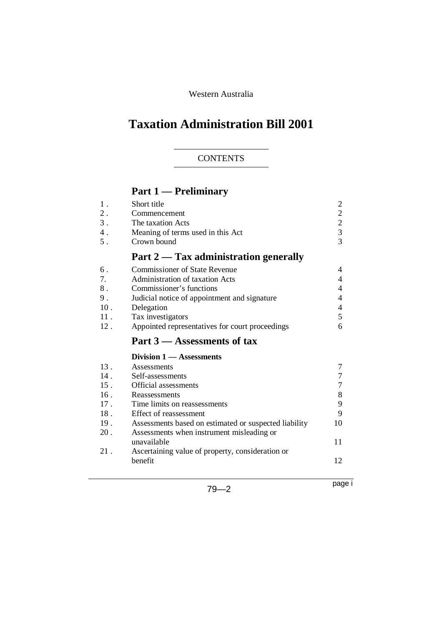Western Australia

# **Taxation Administration Bill 2001**

## **CONTENTS**

# **Part 1 — Preliminary**

| $1$ .<br>$2$ .<br>3.<br>4.<br>5. | Short title<br>Commencement<br>The taxation Acts<br>Meaning of terms used in this Act<br>Crown bound | $\overline{c}$<br>$\overline{c}$<br>$\begin{array}{c} 2 \\ 3 \\ 3 \end{array}$ |
|----------------------------------|------------------------------------------------------------------------------------------------------|--------------------------------------------------------------------------------|
|                                  | Part 2 — Tax administration generally                                                                |                                                                                |
| 6.                               | <b>Commissioner of State Revenue</b>                                                                 | 4                                                                              |
| 7.                               | Administration of taxation Acts                                                                      | 4                                                                              |
| $8$ .                            | Commissioner's functions                                                                             | 4                                                                              |
| 9.                               | Judicial notice of appointment and signature                                                         | 4                                                                              |
| 10.                              | Delegation                                                                                           | $\overline{4}$                                                                 |
| 11.                              | Tax investigators                                                                                    | 5                                                                              |
| 12.                              | Appointed representatives for court proceedings                                                      | 6                                                                              |
|                                  |                                                                                                      |                                                                                |
|                                  | Part 3 – Assessments of tax                                                                          |                                                                                |
|                                  | Division 1 - Assessments                                                                             |                                                                                |
| 13.                              | Assessments                                                                                          | 7                                                                              |
| 14.                              | Self-assessments                                                                                     | 7                                                                              |
| $15$ .                           | Official assessments                                                                                 | $\overline{7}$                                                                 |
| 16.                              | Reassessments                                                                                        | 8                                                                              |
| 17.                              | Time limits on reassessments                                                                         | 9                                                                              |
| 18 <sup>18</sup>                 | Effect of reassessment                                                                               | 9                                                                              |
| 19.                              | Assessments based on estimated or suspected liability                                                | 10                                                                             |
| 20.                              | Assessments when instrument misleading or                                                            |                                                                                |
|                                  | unavailable                                                                                          | 11                                                                             |
| 21.                              | Ascertaining value of property, consideration or                                                     |                                                                                |
|                                  | benefit                                                                                              | 12                                                                             |

79—2

page i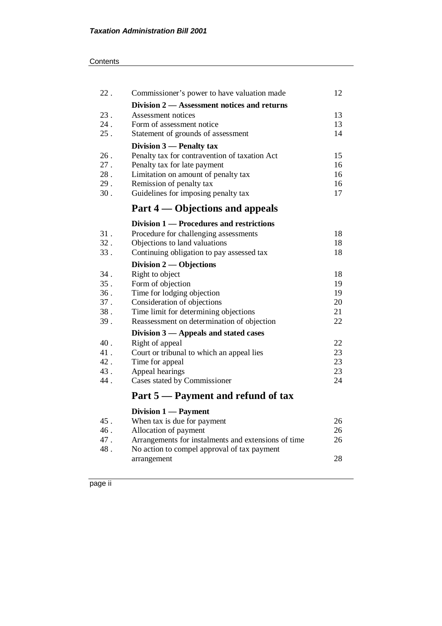| 22. | Commissioner's power to have valuation made         | 12 |
|-----|-----------------------------------------------------|----|
|     | Division 2 – Assessment notices and returns         |    |
| 23. | Assessment notices                                  | 13 |
| 24. | Form of assessment notice                           | 13 |
| 25. | Statement of grounds of assessment                  | 14 |
|     | Division 3 - Penalty tax                            |    |
| 26. | Penalty tax for contravention of taxation Act       | 15 |
| 27. | Penalty tax for late payment                        | 16 |
| 28. | Limitation on amount of penalty tax                 | 16 |
| 29. | Remission of penalty tax                            | 16 |
| 30. | Guidelines for imposing penalty tax                 | 17 |
|     | Part 4 — Objections and appeals                     |    |
|     |                                                     |    |
|     | Division 1 — Procedures and restrictions            |    |
| 31. | Procedure for challenging assessments               | 18 |
| 32. | Objections to land valuations                       | 18 |
| 33. | Continuing obligation to pay assessed tax           | 18 |
|     | Division $2$ — Objections                           |    |
| 34. | Right to object                                     | 18 |
| 35. | Form of objection                                   | 19 |
| 36. | Time for lodging objection                          | 19 |
| 37. | Consideration of objections                         | 20 |
| 38. | Time limit for determining objections               | 21 |
| 39. | Reassessment on determination of objection          | 22 |
|     | Division 3 – Appeals and stated cases               |    |
| 40. | Right of appeal                                     | 22 |
| 41. | Court or tribunal to which an appeal lies           | 23 |
| 42. | Time for appeal                                     | 23 |
| 43. | Appeal hearings                                     | 23 |
| 44. | Cases stated by Commissioner                        | 24 |
|     | Part 5 — Payment and refund of tax                  |    |
|     | Division 1 - Payment                                |    |
| 45. | When tax is due for payment                         | 26 |
| 46. | Allocation of payment                               | 26 |
| 47. | Arrangements for instalments and extensions of time | 26 |
| 48. | No action to compel approval of tax payment         |    |
|     | arrangement                                         | 28 |
|     |                                                     |    |

page ii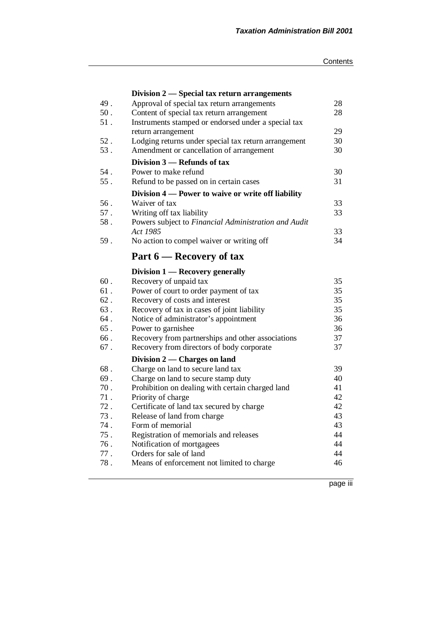|        | Division 2 — Special tax return arrangements         |    |
|--------|------------------------------------------------------|----|
| 49.    | Approval of special tax return arrangements          | 28 |
| 50.    | Content of special tax return arrangement            | 28 |
| 51.    | Instruments stamped or endorsed under a special tax  |    |
|        | return arrangement                                   | 29 |
| $52$ . | Lodging returns under special tax return arrangement | 30 |
| 53.    | Amendment or cancellation of arrangement             | 30 |
|        | Division 3 – Refunds of tax                          |    |
| 54.    | Power to make refund                                 | 30 |
| 55.    | Refund to be passed on in certain cases              | 31 |
|        | Division 4 — Power to waive or write off liability   |    |
| 56.    | Waiver of tax                                        | 33 |
| 57.    | Writing off tax liability                            | 33 |
| 58.    | Powers subject to Financial Administration and Audit |    |
|        | Act 1985                                             | 33 |
| 59.    | No action to compel waiver or writing off            | 34 |
|        | Part 6 — Recovery of tax                             |    |
|        | Division 1 — Recovery generally                      |    |
| 60.    | Recovery of unpaid tax                               | 35 |
| 61.    | Power of court to order payment of tax               | 35 |
| $62$ . | Recovery of costs and interest                       | 35 |
| 63.    | Recovery of tax in cases of joint liability          | 35 |
| 64.    | Notice of administrator's appointment                | 36 |
| 65.    | Power to garnishee                                   | 36 |
| 66.    | Recovery from partnerships and other associations    | 37 |
| 67.    | Recovery from directors of body corporate            | 37 |
|        | Division 2 — Charges on land                         |    |
| 68.    | Charge on land to secure land tax                    | 39 |
| 69.    | Charge on land to secure stamp duty                  | 40 |
| 70.    | Prohibition on dealing with certain charged land     | 41 |
| 71.    | Priority of charge                                   | 42 |
| 72.    | Certificate of land tax secured by charge            | 42 |
| 73.    | Release of land from charge                          | 43 |
| 74.    | Form of memorial                                     | 43 |
| 75.    | Registration of memorials and releases               | 44 |
| 76.    | Notification of mortgagees                           | 44 |
| 77.    | Orders for sale of land                              | 44 |
| 78.    |                                                      | 46 |

page iii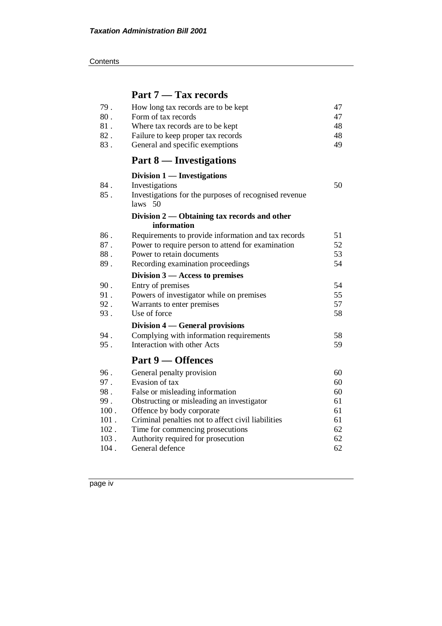**Contents** 

# **Part 7 — Tax records**

| 79.  | How long tax records are to be kept                   | 47 |
|------|-------------------------------------------------------|----|
| 80.  | Form of tax records                                   | 47 |
| 81.  | Where tax records are to be kept                      | 48 |
| 82.  | Failure to keep proper tax records                    | 48 |
| 83.  | General and specific exemptions                       | 49 |
|      | Part 8 — Investigations                               |    |
|      | Division 1 — Investigations                           |    |
| 84.  | Investigations                                        | 50 |
| 85.  | Investigations for the purposes of recognised revenue |    |
|      | $laws$ 50                                             |    |
|      | Division 2 — Obtaining tax records and other          |    |
|      | information                                           |    |
| 86.  | Requirements to provide information and tax records   | 51 |
| 87.  | Power to require person to attend for examination     | 52 |
| 88.  | Power to retain documents                             | 53 |
| 89.  | Recording examination proceedings                     | 54 |
|      | Division $3$ — Access to premises                     |    |
| 90.  | Entry of premises                                     | 54 |
| 91.  | Powers of investigator while on premises              | 55 |
| 92.  | Warrants to enter premises                            | 57 |
| 93.  | Use of force                                          | 58 |
|      | Division 4 — General provisions                       |    |
| 94.  | Complying with information requirements               | 58 |
| 95.  | Interaction with other Acts                           | 59 |
|      | Part 9 – Offences                                     |    |
| 96.  | General penalty provision                             | 60 |
| 97.  | Evasion of tax                                        | 60 |
| 98.  | False or misleading information                       | 60 |
| 99.  | Obstructing or misleading an investigator             | 61 |
| 100. | Offence by body corporate                             | 61 |
| 101. | Criminal penalties not to affect civil liabilities    | 61 |
| 102. | Time for commencing prosecutions                      | 62 |
| 103. | Authority required for prosecution                    | 62 |
| 104. | General defence                                       | 62 |

page iv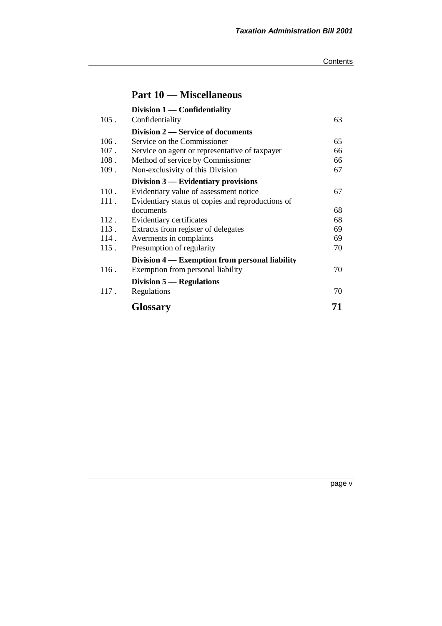# **Part 10 — Miscellaneous**

|         | Division $1$ — Confidentiality                    |    |
|---------|---------------------------------------------------|----|
| $105$ . | Confidentiality                                   | 63 |
|         | Division 2 — Service of documents                 |    |
| 106.    | Service on the Commissioner                       | 65 |
| 107.    | Service on agent or representative of taxpayer    | 66 |
| 108.    | Method of service by Commissioner                 | 66 |
| 109.    | Non-exclusivity of this Division                  | 67 |
|         | Division $3$ — Evidentiary provisions             |    |
| 110.    | Evidentiary value of assessment notice            | 67 |
| 111.    | Evidentiary status of copies and reproductions of |    |
|         | documents                                         | 68 |
| 112.    | Evidentiary certificates                          | 68 |
| 113.    | Extracts from register of delegates               | 69 |
| 114.    | Averments in complaints                           | 69 |
| 115.    | Presumption of regularity                         | 70 |
|         | Division 4 — Exemption from personal liability    |    |
| 116.    | Exemption from personal liability                 | 70 |
|         | Division $5$ — Regulations                        |    |
| 117.    | Regulations                                       | 70 |
|         | <b>Glossary</b>                                   | 71 |

page v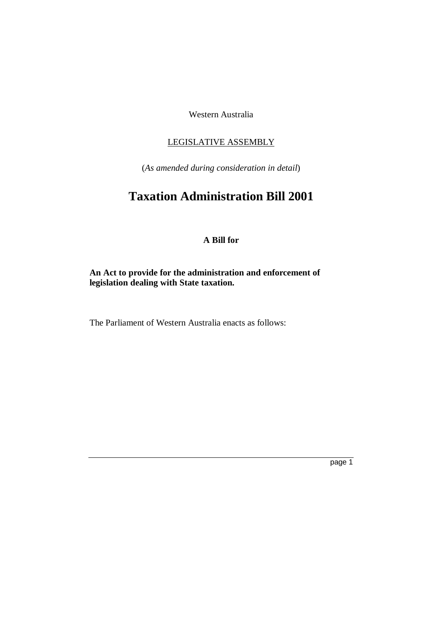Western Australia

#### LEGISLATIVE ASSEMBLY

(*As amended during consideration in detail*)

# **Taxation Administration Bill 2001**

## **A Bill for**

## **An Act to provide for the administration and enforcement of legislation dealing with State taxation.**

The Parliament of Western Australia enacts as follows: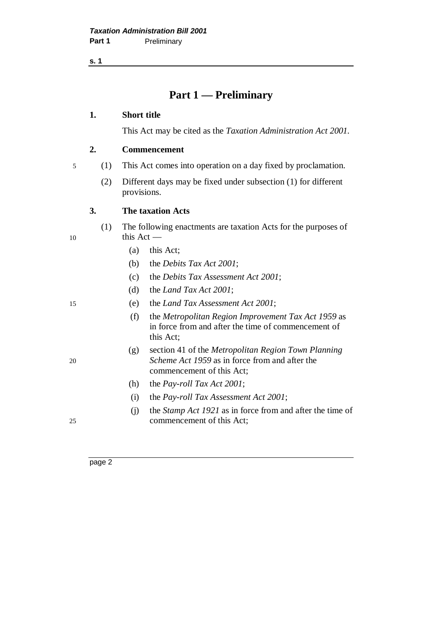**s. 1**

## **Part 1 — Preliminary**

#### **1. Short title**

This Act may be cited as the *Taxation Administration Act 2001.*

#### **2. Commencement**

5 (1) This Act comes into operation on a day fixed by proclamation.

(2) Different days may be fixed under subsection (1) for different provisions.

#### **3. The taxation Acts**

- (1) The following enactments are taxation Acts for the purposes of 10 this Act —
	- (a) this Act;
	- (b) the *Debits Tax Act 2001*;
	- (c) the *Debits Tax Assessment Act 2001*;
	- (d) the *Land Tax Act 2001*;

- 15 (e) the *Land Tax Assessment Act 2001*;
	- (f) the *Metropolitan Region Improvement Tax Act 1959* as in force from and after the time of commencement of this Act;
- (g) section 41 of the *Metropolitan Region Town Planning* 20 *Scheme Act 1959* as in force from and after the commencement of this Act;
	- (h) the *Pay-roll Tax Act 2001*;
	- (i) the *Pay-roll Tax Assessment Act 2001*;
- (j) the *Stamp Act 1921* as in force from and after the time of 25 commencement of this Act;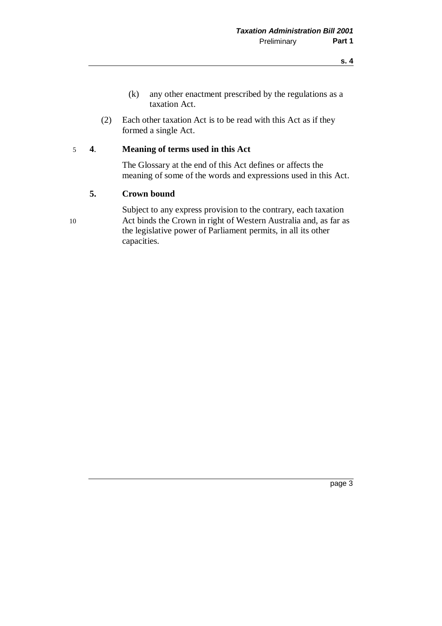- (k) any other enactment prescribed by the regulations as a taxation Act.
- (2) Each other taxation Act is to be read with this Act as if they formed a single Act.

#### 5 **4**. **Meaning of terms used in this Act**

The Glossary at the end of this Act defines or affects the meaning of some of the words and expressions used in this Act.

#### **5. Crown bound**

Subject to any express provision to the contrary, each taxation 10 Act binds the Crown in right of Western Australia and, as far as the legislative power of Parliament permits, in all its other capacities.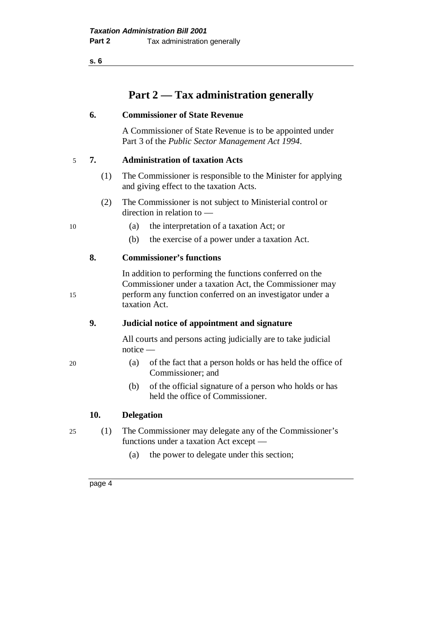**s. 6**

# **Part 2 — Tax administration generally**

#### **6. Commissioner of State Revenue**

A Commissioner of State Revenue is to be appointed under Part 3 of the *Public Sector Management Act 1994*.

#### 5 **7. Administration of taxation Acts**

- (1) The Commissioner is responsible to the Minister for applying and giving effect to the taxation Acts.
- (2) The Commissioner is not subject to Ministerial control or direction in relation to —
- 10 (a) the interpretation of a taxation Act; or
	- (b) the exercise of a power under a taxation Act.

## **8. Commissioner's functions**

In addition to performing the functions conferred on the Commissioner under a taxation Act, the Commissioner may 15 perform any function conferred on an investigator under a taxation Act.

## **9. Judicial notice of appointment and signature**

All courts and persons acting judicially are to take judicial notice —

- 20 (a) of the fact that a person holds or has held the office of Commissioner; and
	- (b) of the official signature of a person who holds or has held the office of Commissioner.

#### **10. Delegation**

25 (1) The Commissioner may delegate any of the Commissioner's functions under a taxation Act except —

(a) the power to delegate under this section;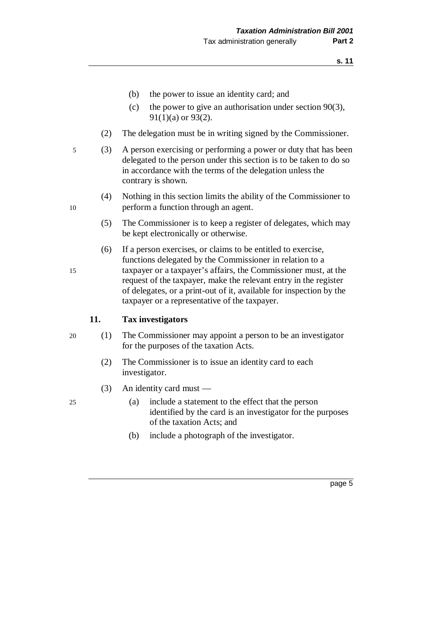- (b) the power to issue an identity card; and
- (c) the power to give an authorisation under section  $90(3)$ , 91(1)(a) or 93(2).
- (2) The delegation must be in writing signed by the Commissioner.
- 5 (3) A person exercising or performing a power or duty that has been delegated to the person under this section is to be taken to do so in accordance with the terms of the delegation unless the contrary is shown.
- (4) Nothing in this section limits the ability of the Commissioner to 10 perform a function through an agent.
	- (5) The Commissioner is to keep a register of delegates, which may be kept electronically or otherwise.
- (6) If a person exercises, or claims to be entitled to exercise, functions delegated by the Commissioner in relation to a 15 taxpayer or a taxpayer's affairs, the Commissioner must, at the request of the taxpayer, make the relevant entry in the register of delegates, or a print-out of it, available for inspection by the taxpayer or a representative of the taxpayer.

#### **11. Tax investigators**

- 20 (1) The Commissioner may appoint a person to be an investigator for the purposes of the taxation Acts.
	- (2) The Commissioner is to issue an identity card to each investigator.
	- (3) An identity card must —
- 25 (a) include a statement to the effect that the person identified by the card is an investigator for the purposes of the taxation Acts; and
	- (b) include a photograph of the investigator.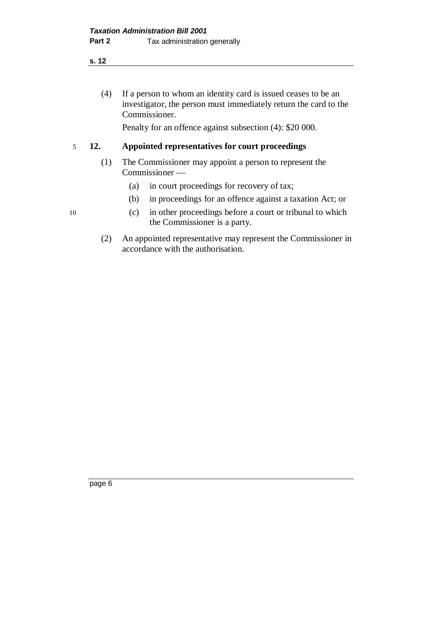**s. 12**

(4) If a person to whom an identity card is issued ceases to be an investigator, the person must immediately return the card to the Commissioner.

Penalty for an offence against subsection (4): \$20 000.

#### 5 **12. Appointed representatives for court proceedings**

- (1) The Commissioner may appoint a person to represent the Commissioner —
	- (a) in court proceedings for recovery of tax;
	- (b) in proceedings for an offence against a taxation Act; or
- 10 (c) in other proceedings before a court or tribunal to which the Commissioner is a party.
	- (2) An appointed representative may represent the Commissioner in accordance with the authorisation.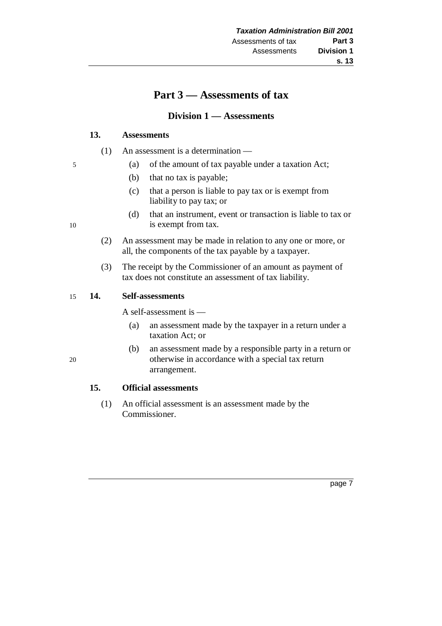## **Part 3 — Assessments of tax**

## **Division 1 — Assessments**

#### **13. Assessments**

- (1) An assessment is a determination —
- 5 (a) of the amount of tax payable under a taxation Act;
	- (b) that no tax is payable;
	- (c) that a person is liable to pay tax or is exempt from liability to pay tax; or
- (d) that an instrument, event or transaction is liable to tax or 10 is exempt from tax.
	- (2) An assessment may be made in relation to any one or more, or all, the components of the tax payable by a taxpayer.
	- (3) The receipt by the Commissioner of an amount as payment of tax does not constitute an assessment of tax liability.

#### 15 **14. Self-assessments**

A self-assessment is —

- (a) an assessment made by the taxpayer in a return under a taxation Act; or
- (b) an assessment made by a responsible party in a return or 20 otherwise in accordance with a special tax return arrangement.

## **15. Official assessments**

(1) An official assessment is an assessment made by the Commissioner.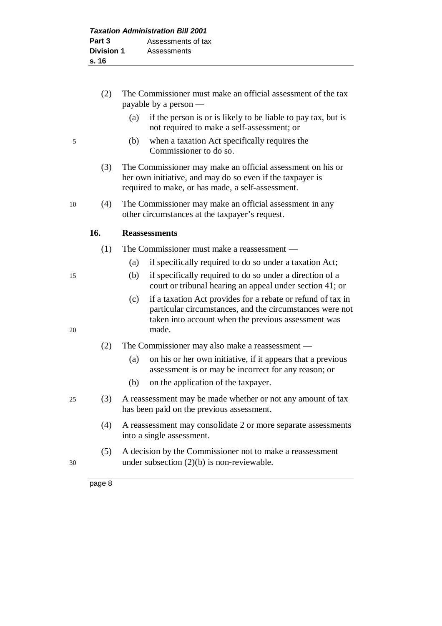- (2) The Commissioner must make an official assessment of the tax payable by a person — (a) if the person is or is likely to be liable to pay tax, but is not required to make a self-assessment; or 5 (b) when a taxation Act specifically requires the Commissioner to do so. (3) The Commissioner may make an official assessment on his or her own initiative, and may do so even if the taxpayer is required to make, or has made, a self-assessment. 10 (4) The Commissioner may make an official assessment in any other circumstances at the taxpayer's request. **16. Reassessments** (1) The Commissioner must make a reassessment — (a) if specifically required to do so under a taxation Act; 15 (b) if specifically required to do so under a direction of a court or tribunal hearing an appeal under section 41; or (c) if a taxation Act provides for a rebate or refund of tax in
- particular circumstances, and the circumstances were not taken into account when the previous assessment was 20 made.
	- (2) The Commissioner may also make a reassessment
		- (a) on his or her own initiative, if it appears that a previous assessment is or may be incorrect for any reason; or
		- (b) on the application of the taxpayer.
- 25 (3) A reassessment may be made whether or not any amount of tax has been paid on the previous assessment.
	- (4) A reassessment may consolidate 2 or more separate assessments into a single assessment.
- (5) A decision by the Commissioner not to make a reassessment 30 under subsection (2)(b) is non-reviewable.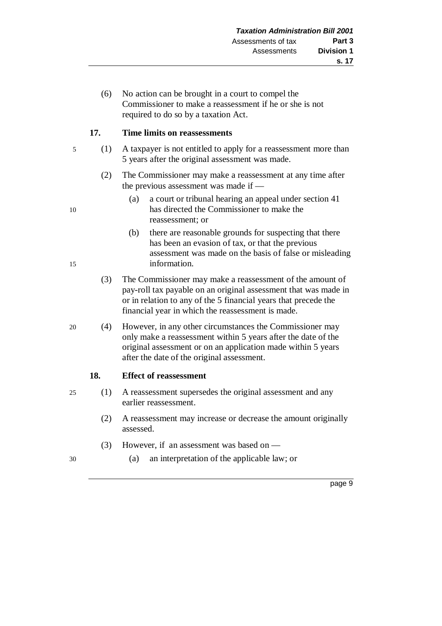(6) No action can be brought in a court to compel the Commissioner to make a reassessment if he or she is not required to do so by a taxation Act.

#### **17. Time limits on reassessments**

- 5 (1) A taxpayer is not entitled to apply for a reassessment more than 5 years after the original assessment was made.
	- (2) The Commissioner may make a reassessment at any time after the previous assessment was made if —
- (a) a court or tribunal hearing an appeal under section 41 10 has directed the Commissioner to make the reassessment; or
- (b) there are reasonable grounds for suspecting that there has been an evasion of tax, or that the previous assessment was made on the basis of false or misleading 15 information.
	- (3) The Commissioner may make a reassessment of the amount of pay-roll tax payable on an original assessment that was made in or in relation to any of the 5 financial years that precede the financial year in which the reassessment is made.
- 20 (4) However, in any other circumstances the Commissioner may only make a reassessment within 5 years after the date of the original assessment or on an application made within 5 years after the date of the original assessment.

#### **18. Effect of reassessment**

- 25 (1) A reassessment supersedes the original assessment and any earlier reassessment.
	- (2) A reassessment may increase or decrease the amount originally assessed.
	- (3) However, if an assessment was based on —
- 30 (a) an interpretation of the applicable law; or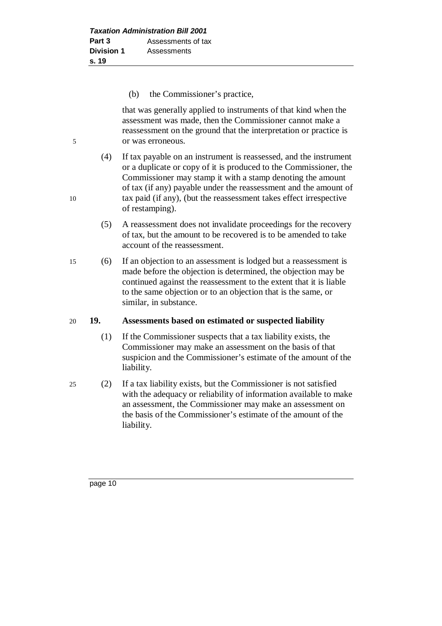(b) the Commissioner's practice,

that was generally applied to instruments of that kind when the assessment was made, then the Commissioner cannot make a reassessment on the ground that the interpretation or practice is 5 or was erroneous.

- (4) If tax payable on an instrument is reassessed, and the instrument or a duplicate or copy of it is produced to the Commissioner, the Commissioner may stamp it with a stamp denoting the amount of tax (if any) payable under the reassessment and the amount of 10 tax paid (if any), (but the reassessment takes effect irrespective of restamping).
	- (5) A reassessment does not invalidate proceedings for the recovery of tax, but the amount to be recovered is to be amended to take account of the reassessment.
- 15 (6) If an objection to an assessment is lodged but a reassessment is made before the objection is determined, the objection may be continued against the reassessment to the extent that it is liable to the same objection or to an objection that is the same, or similar, in substance.

#### 20 **19. Assessments based on estimated or suspected liability**

- (1) If the Commissioner suspects that a tax liability exists, the Commissioner may make an assessment on the basis of that suspicion and the Commissioner's estimate of the amount of the liability.
- 25 (2) If a tax liability exists, but the Commissioner is not satisfied with the adequacy or reliability of information available to make an assessment, the Commissioner may make an assessment on the basis of the Commissioner's estimate of the amount of the liability.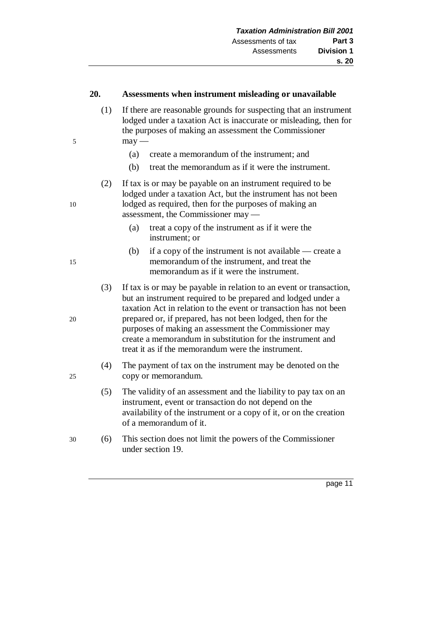#### **20. Assessments when instrument misleading or unavailable**

- (1) If there are reasonable grounds for suspecting that an instrument lodged under a taxation Act is inaccurate or misleading, then for the purposes of making an assessment the Commissioner  $5$  may —
	- (a) create a memorandum of the instrument; and
	- (b) treat the memorandum as if it were the instrument.
- (2) If tax is or may be payable on an instrument required to be lodged under a taxation Act, but the instrument has not been 10 lodged as required, then for the purposes of making an assessment, the Commissioner may —
	- (a) treat a copy of the instrument as if it were the instrument; or
- (b) if a copy of the instrument is not available create a 15 memorandum of the instrument, and treat the memorandum as if it were the instrument.
- (3) If tax is or may be payable in relation to an event or transaction, but an instrument required to be prepared and lodged under a taxation Act in relation to the event or transaction has not been 20 prepared or, if prepared, has not been lodged, then for the purposes of making an assessment the Commissioner may create a memorandum in substitution for the instrument and treat it as if the memorandum were the instrument.
- (4) The payment of tax on the instrument may be denoted on the 25 copy or memorandum.
	- (5) The validity of an assessment and the liability to pay tax on an instrument, event or transaction do not depend on the availability of the instrument or a copy of it, or on the creation of a memorandum of it.
- 30 (6) This section does not limit the powers of the Commissioner under section 19.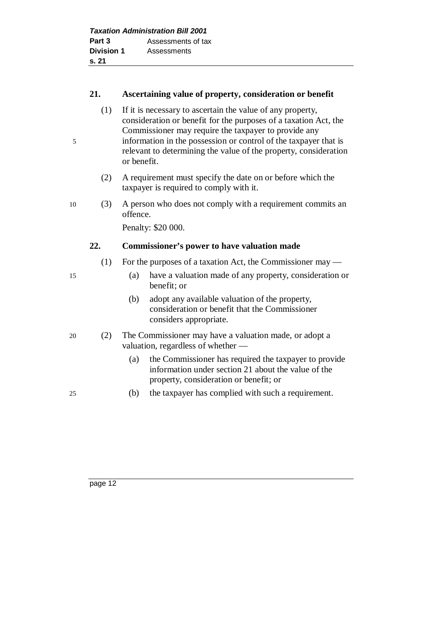|                   | <b>Taxation Administration Bill 2001</b> |
|-------------------|------------------------------------------|
| Part 3            | Assessments of tax                       |
| <b>Division 1</b> | Assessments                              |
| s.21              |                                          |

#### **21. Ascertaining value of property, consideration or benefit**

- (1) If it is necessary to ascertain the value of any property, consideration or benefit for the purposes of a taxation Act, the Commissioner may require the taxpayer to provide any 5 information in the possession or control of the taxpayer that is
	- relevant to determining the value of the property, consideration or benefit.
	- (2) A requirement must specify the date on or before which the taxpayer is required to comply with it.
- 10 (3) A person who does not comply with a requirement commits an offence.

Penalty: \$20 000.

## **22. Commissioner's power to have valuation made**

- (1) For the purposes of a taxation Act, the Commissioner may —
- 15 (a) have a valuation made of any property, consideration or benefit; or
	- (b) adopt any available valuation of the property, consideration or benefit that the Commissioner considers appropriate.
- 20 (2) The Commissioner may have a valuation made, or adopt a valuation, regardless of whether —
	- (a) the Commissioner has required the taxpayer to provide information under section 21 about the value of the property, consideration or benefit; or
- 25 (b) the taxpayer has complied with such a requirement.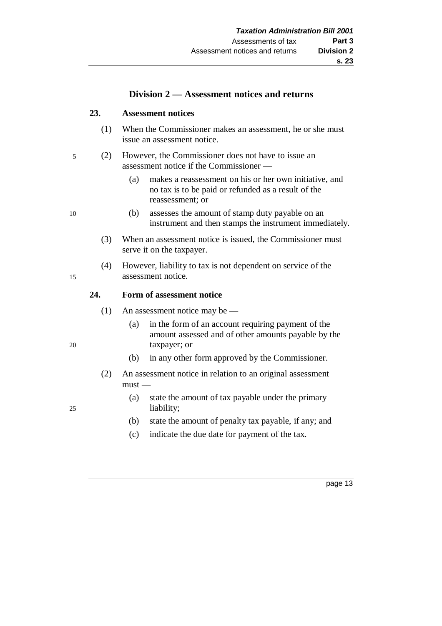## **Division 2 — Assessment notices and returns**

#### **23. Assessment notices**

- (1) When the Commissioner makes an assessment, he or she must issue an assessment notice.
- 5 (2) However, the Commissioner does not have to issue an assessment notice if the Commissioner —
	- (a) makes a reassessment on his or her own initiative, and no tax is to be paid or refunded as a result of the reassessment; or
- 10 (b) assesses the amount of stamp duty payable on an instrument and then stamps the instrument immediately.
	- (3) When an assessment notice is issued, the Commissioner must serve it on the taxpayer.
- (4) However, liability to tax is not dependent on service of the 15 assessment notice.

#### **24. Form of assessment notice**

- (1) An assessment notice may be —
- (a) in the form of an account requiring payment of the amount assessed and of other amounts payable by the 20 taxpayer; or
	- (b) in any other form approved by the Commissioner.
	- (2) An assessment notice in relation to an original assessment  $must -$
- (a) state the amount of tax payable under the primary 25 liability;
	- (b) state the amount of penalty tax payable, if any; and
	- (c) indicate the due date for payment of the tax.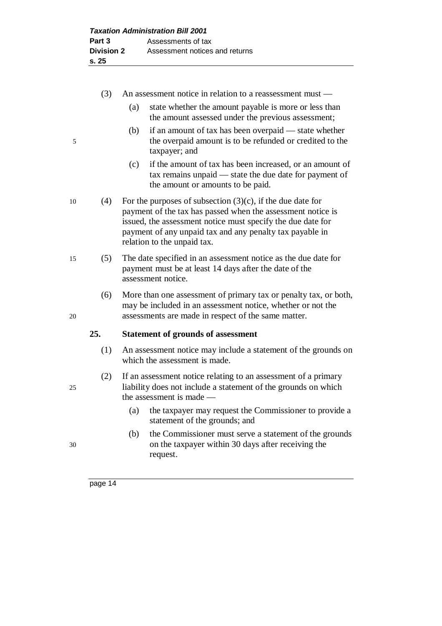- (3) An assessment notice in relation to a reassessment must (a) state whether the amount payable is more or less than the amount assessed under the previous assessment; (b) if an amount of tax has been overpaid — state whether 5 the overpaid amount is to be refunded or credited to the taxpayer; and (c) if the amount of tax has been increased, or an amount of tax remains unpaid — state the due date for payment of the amount or amounts to be paid. 10 (4) For the purposes of subsection  $(3)(c)$ , if the due date for payment of the tax has passed when the assessment notice is issued, the assessment notice must specify the due date for payment of any unpaid tax and any penalty tax payable in relation to the unpaid tax. 15 (5) The date specified in an assessment notice as the due date for payment must be at least 14 days after the date of the assessment notice. (6) More than one assessment of primary tax or penalty tax, or both, may be included in an assessment notice, whether or not the 20 assessments are made in respect of the same matter. **25. Statement of grounds of assessment** (1) An assessment notice may include a statement of the grounds on which the assessment is made. (2) If an assessment notice relating to an assessment of a primary 25 liability does not include a statement of the grounds on which the assessment is made — (a) the taxpayer may request the Commissioner to provide a statement of the grounds; and
- (b) the Commissioner must serve a statement of the grounds 30 on the taxpayer within 30 days after receiving the request.
	- page 14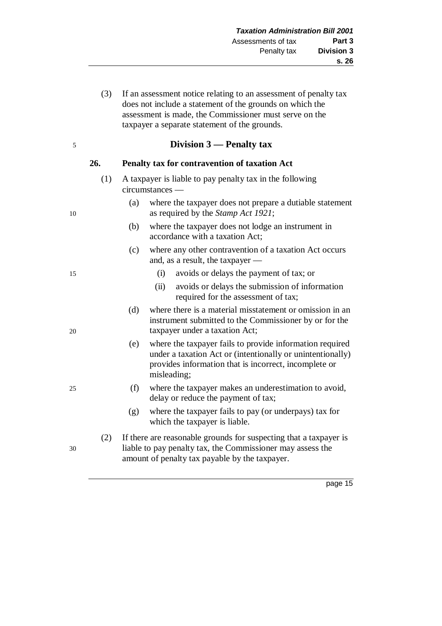(3) If an assessment notice relating to an assessment of penalty tax does not include a statement of the grounds on which the assessment is made, the Commissioner must serve on the taxpayer a separate statement of the grounds.

## 5 **Division 3 — Penalty tax**

#### **26. Penalty tax for contravention of taxation Act**

- (1) A taxpayer is liable to pay penalty tax in the following circumstances —
- (a) where the taxpayer does not prepare a dutiable statement 10 as required by the *Stamp Act 1921*;
	- (b) where the taxpayer does not lodge an instrument in accordance with a taxation Act;
	- (c) where any other contravention of a taxation Act occurs and, as a result, the taxpayer —
- 15 (i) avoids or delays the payment of tax; or
	- (ii) avoids or delays the submission of information required for the assessment of tax;
- (d) where there is a material misstatement or omission in an instrument submitted to the Commissioner by or for the 20 taxpayer under a taxation Act;
	- (e) where the taxpayer fails to provide information required under a taxation Act or (intentionally or unintentionally) provides information that is incorrect, incomplete or misleading;
- 25 (f) where the taxpayer makes an underestimation to avoid, delay or reduce the payment of tax;
	- (g) where the taxpayer fails to pay (or underpays) tax for which the taxpayer is liable.
- (2) If there are reasonable grounds for suspecting that a taxpayer is 30 liable to pay penalty tax, the Commissioner may assess the amount of penalty tax payable by the taxpayer.

- 
-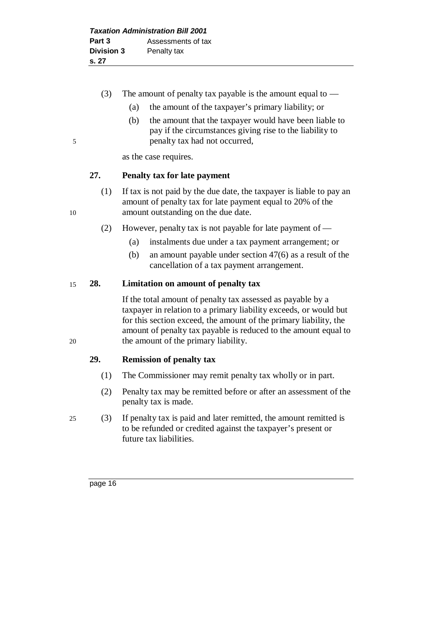- (3) The amount of penalty tax payable is the amount equal to  $-$ 
	- (a) the amount of the taxpayer's primary liability; or
- (b) the amount that the taxpayer would have been liable to pay if the circumstances giving rise to the liability to 5 penalty tax had not occurred,

as the case requires.

## **27. Penalty tax for late payment**

- (1) If tax is not paid by the due date, the taxpayer is liable to pay an amount of penalty tax for late payment equal to 20% of the 10 amount outstanding on the due date.
	- (2) However, penalty tax is not payable for late payment of
		- (a) instalments due under a tax payment arrangement; or
		- (b) an amount payable under section 47(6) as a result of the cancellation of a tax payment arrangement.

## 15 **28. Limitation on amount of penalty tax**

If the total amount of penalty tax assessed as payable by a taxpayer in relation to a primary liability exceeds, or would but for this section exceed, the amount of the primary liability, the amount of penalty tax payable is reduced to the amount equal to 20 the amount of the primary liability.

#### **29. Remission of penalty tax**

- (1) The Commissioner may remit penalty tax wholly or in part.
- (2) Penalty tax may be remitted before or after an assessment of the penalty tax is made.
- 25 (3) If penalty tax is paid and later remitted, the amount remitted is to be refunded or credited against the taxpayer's present or future tax liabilities.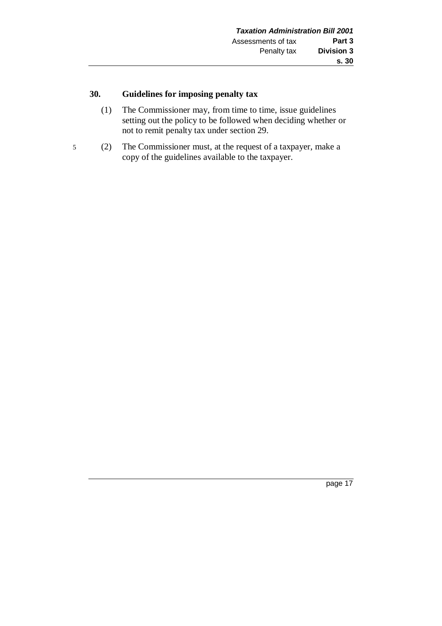## **30. Guidelines for imposing penalty tax**

- (1) The Commissioner may, from time to time, issue guidelines setting out the policy to be followed when deciding whether or not to remit penalty tax under section 29.
- 5 (2) The Commissioner must, at the request of a taxpayer, make a copy of the guidelines available to the taxpayer.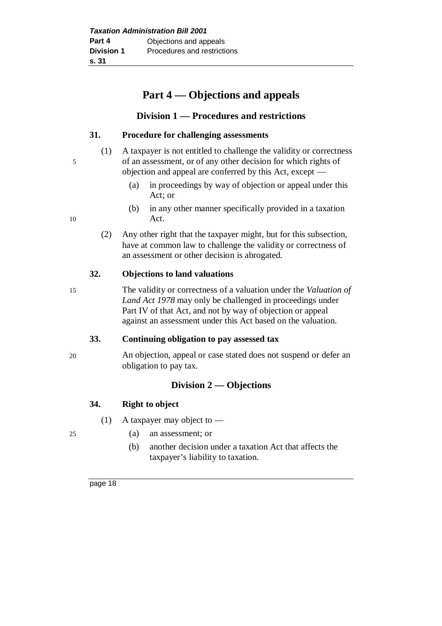# **Part 4 — Objections and appeals**

## **Division 1 — Procedures and restrictions**

#### **31. Procedure for challenging assessments**

- (1) A taxpayer is not entitled to challenge the validity or correctness 5 of an assessment, or of any other decision for which rights of objection and appeal are conferred by this Act, except —
	- (a) in proceedings by way of objection or appeal under this Act; or
- (b) in any other manner specifically provided in a taxation 10 Act.
	- (2) Any other right that the taxpayer might, but for this subsection, have at common law to challenge the validity or correctness of an assessment or other decision is abrogated.

#### **32. Objections to land valuations**

- 
- 15 The validity or correctness of a valuation under the *Valuation of Land Act 1978* may only be challenged in proceedings under Part IV of that Act, and not by way of objection or appeal against an assessment under this Act based on the valuation.

## **33. Continuing obligation to pay assessed tax**

20 An objection, appeal or case stated does not suspend or defer an obligation to pay tax.

## **Division 2 — Objections**

## **34. Right to object**

- (1) A taxpayer may object to —
- 
- 25 (a) an assessment; or
	- (b) another decision under a taxation Act that affects the taxpayer's liability to taxation.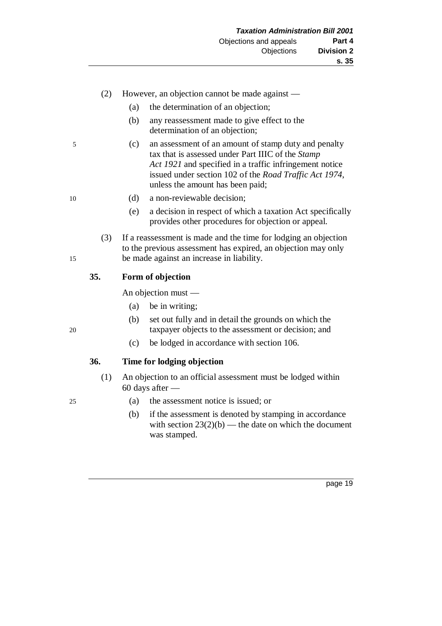- (2) However, an objection cannot be made against
	- (a) the determination of an objection;
	- (b) any reassessment made to give effect to the determination of an objection;
- 5 (c) an assessment of an amount of stamp duty and penalty tax that is assessed under Part IIIC of the *Stamp Act 1921* and specified in a traffic infringement notice issued under section 102 of the *Road Traffic Act 1974*, unless the amount has been paid;
- 
- 10 (d) a non-reviewable decision;
	- (e) a decision in respect of which a taxation Act specifically provides other procedures for objection or appeal.
- (3) If a reassessment is made and the time for lodging an objection to the previous assessment has expired, an objection may only 15 be made against an increase in liability.

#### **35. Form of objection**

An objection must —

- (a) be in writing;
- (b) set out fully and in detail the grounds on which the 20 taxpayer objects to the assessment or decision; and
	- (c) be lodged in accordance with section 106.

#### **36. Time for lodging objection**

- (1) An objection to an official assessment must be lodged within 60 days after —
- 25 (a) the assessment notice is issued; or
	- (b) if the assessment is denoted by stamping in accordance with section  $23(2)(b)$  — the date on which the document was stamped.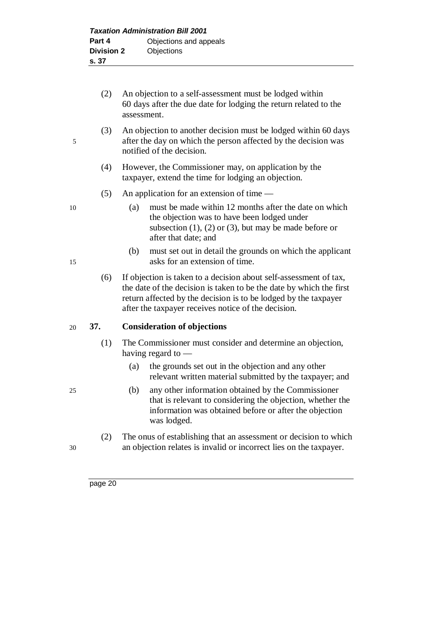- (2) An objection to a self-assessment must be lodged within 60 days after the due date for lodging the return related to the assessment. (3) An objection to another decision must be lodged within 60 days 5 after the day on which the person affected by the decision was notified of the decision. (4) However, the Commissioner may, on application by the taxpayer, extend the time for lodging an objection. (5) An application for an extension of time — 10 (a) must be made within 12 months after the date on which the objection was to have been lodged under subsection  $(1)$ ,  $(2)$  or  $(3)$ , but may be made before or after that date; and (b) must set out in detail the grounds on which the applicant 15 asks for an extension of time. (6) If objection is taken to a decision about self-assessment of tax, the date of the decision is taken to be the date by which the first return affected by the decision is to be lodged by the taxpayer after the taxpayer receives notice of the decision. 20 **37. Consideration of objections** (1) The Commissioner must consider and determine an objection, having regard to — (a) the grounds set out in the objection and any other relevant written material submitted by the taxpayer; and
- 25 (b) any other information obtained by the Commissioner that is relevant to considering the objection, whether the information was obtained before or after the objection was lodged.
- (2) The onus of establishing that an assessment or decision to which 30 an objection relates is invalid or incorrect lies on the taxpayer.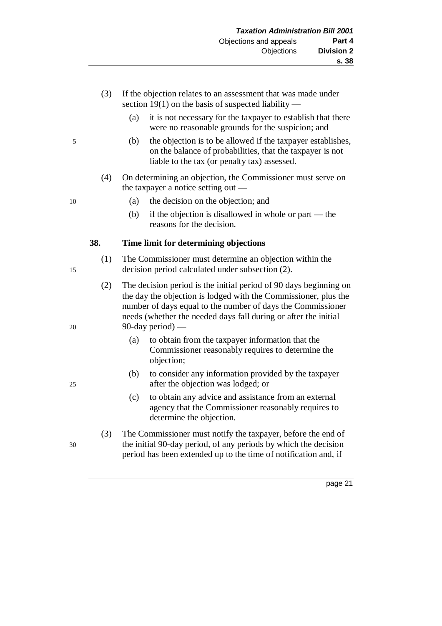- (3) If the objection relates to an assessment that was made under section 19(1) on the basis of suspected liability —
	- (a) it is not necessary for the taxpayer to establish that there were no reasonable grounds for the suspicion; and
- 5 (b) the objection is to be allowed if the taxpayer establishes, on the balance of probabilities, that the taxpayer is not liable to the tax (or penalty tax) assessed.
	- (4) On determining an objection, the Commissioner must serve on the taxpayer a notice setting out —
- 10 (a) the decision on the objection; and
	- (b) if the objection is disallowed in whole or part the reasons for the decision.

#### **38. Time limit for determining objections**

- (1) The Commissioner must determine an objection within the 15 decision period calculated under subsection (2).
- (2) The decision period is the initial period of 90 days beginning on the day the objection is lodged with the Commissioner, plus the number of days equal to the number of days the Commissioner needs (whether the needed days fall during or after the initial 20 90-day period) —
	- (a) to obtain from the taxpayer information that the Commissioner reasonably requires to determine the objection;
- (b) to consider any information provided by the taxpayer 25 after the objection was lodged; or
	- (c) to obtain any advice and assistance from an external agency that the Commissioner reasonably requires to determine the objection.
- (3) The Commissioner must notify the taxpayer, before the end of 30 the initial 90-day period, of any periods by which the decision period has been extended up to the time of notification and, if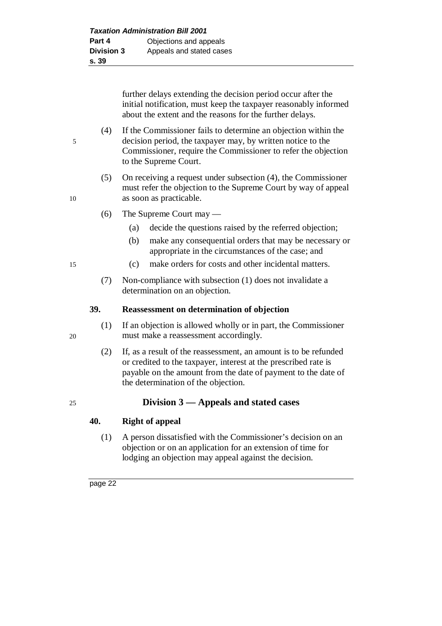further delays extending the decision period occur after the initial notification, must keep the taxpayer reasonably informed about the extent and the reasons for the further delays.

(4) If the Commissioner fails to determine an objection within the 5 decision period, the taxpayer may, by written notice to the Commissioner, require the Commissioner to refer the objection to the Supreme Court.

- (5) On receiving a request under subsection (4), the Commissioner must refer the objection to the Supreme Court by way of appeal 10 as soon as practicable.
	- (6) The Supreme Court may
		- (a) decide the questions raised by the referred objection;
		- (b) make any consequential orders that may be necessary or appropriate in the circumstances of the case; and
- 15 (c) make orders for costs and other incidental matters.
	- (7) Non-compliance with subsection (1) does not invalidate a determination on an objection.

#### **39. Reassessment on determination of objection**

- (1) If an objection is allowed wholly or in part, the Commissioner 20 must make a reassessment accordingly.
	- (2) If, as a result of the reassessment, an amount is to be refunded or credited to the taxpayer, interest at the prescribed rate is payable on the amount from the date of payment to the date of the determination of the objection.

## 25 **Division 3 — Appeals and stated cases**

## **40. Right of appeal**

(1) A person dissatisfied with the Commissioner's decision on an objection or on an application for an extension of time for lodging an objection may appeal against the decision.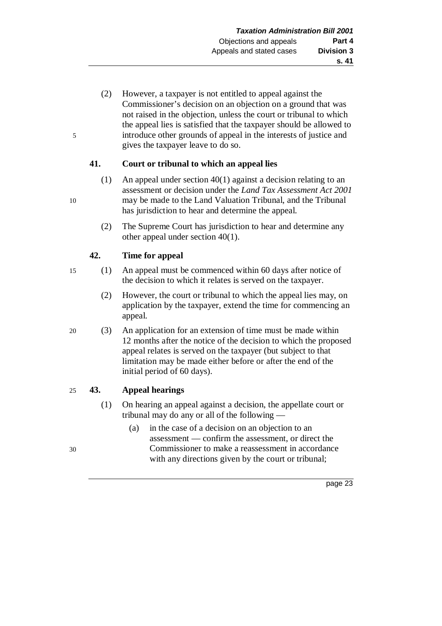(2) However, a taxpayer is not entitled to appeal against the Commissioner's decision on an objection on a ground that was not raised in the objection, unless the court or tribunal to which the appeal lies is satisfied that the taxpayer should be allowed to 5 introduce other grounds of appeal in the interests of justice and gives the taxpayer leave to do so.

## **41. Court or tribunal to which an appeal lies**

- (1) An appeal under section 40(1) against a decision relating to an assessment or decision under the *Land Tax Assessment Act 2001* 10 may be made to the Land Valuation Tribunal, and the Tribunal has jurisdiction to hear and determine the appeal.
	- (2) The Supreme Court has jurisdiction to hear and determine any other appeal under section 40(1).

## **42. Time for appeal**

- 15 (1) An appeal must be commenced within 60 days after notice of the decision to which it relates is served on the taxpayer.
	- (2) However, the court or tribunal to which the appeal lies may, on application by the taxpayer, extend the time for commencing an appeal.
- 20 (3) An application for an extension of time must be made within 12 months after the notice of the decision to which the proposed appeal relates is served on the taxpayer (but subject to that limitation may be made either before or after the end of the initial period of 60 days).

## 25 **43. Appeal hearings**

- (1) On hearing an appeal against a decision, the appellate court or tribunal may do any or all of the following —
- (a) in the case of a decision on an objection to an assessment — confirm the assessment, or direct the 30 Commissioner to make a reassessment in accordance with any directions given by the court or tribunal;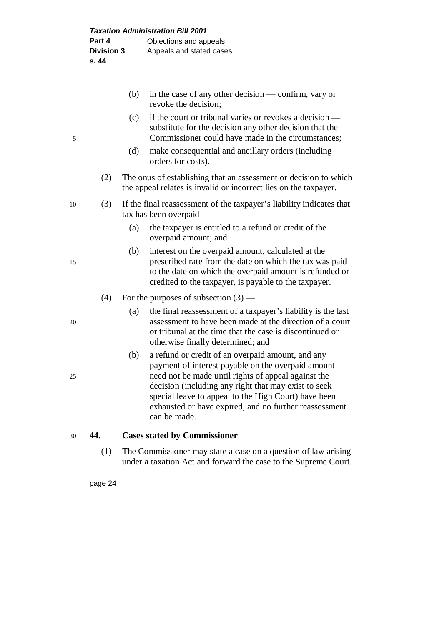|    |     | (b) | in the case of any other decision — confirm, vary or<br>revoke the decision;                                                                                                                                                                                                                                                                             |
|----|-----|-----|----------------------------------------------------------------------------------------------------------------------------------------------------------------------------------------------------------------------------------------------------------------------------------------------------------------------------------------------------------|
| 5  |     | (c) | if the court or tribunal varies or revokes a decision —<br>substitute for the decision any other decision that the<br>Commissioner could have made in the circumstances;                                                                                                                                                                                 |
|    |     | (d) | make consequential and ancillary orders (including<br>orders for costs).                                                                                                                                                                                                                                                                                 |
|    | (2) |     | The onus of establishing that an assessment or decision to which<br>the appeal relates is invalid or incorrect lies on the taxpayer.                                                                                                                                                                                                                     |
| 10 | (3) |     | If the final reassessment of the taxpayer's liability indicates that<br>tax has been overpaid -                                                                                                                                                                                                                                                          |
|    |     | (a) | the taxpayer is entitled to a refund or credit of the<br>overpaid amount; and                                                                                                                                                                                                                                                                            |
| 15 |     | (b) | interest on the overpaid amount, calculated at the<br>prescribed rate from the date on which the tax was paid<br>to the date on which the overpaid amount is refunded or<br>credited to the taxpayer, is payable to the taxpayer.                                                                                                                        |
|    | (4) |     | For the purposes of subsection $(3)$ —                                                                                                                                                                                                                                                                                                                   |
| 20 |     | (a) | the final reassessment of a taxpayer's liability is the last<br>assessment to have been made at the direction of a court<br>or tribunal at the time that the case is discontinued or<br>otherwise finally determined; and                                                                                                                                |
| 25 |     | (b) | a refund or credit of an overpaid amount, and any<br>payment of interest payable on the overpaid amount<br>need not be made until rights of appeal against the<br>decision (including any right that may exist to seek<br>special leave to appeal to the High Court) have been<br>exhausted or have expired, and no further reassessment<br>can be made. |
|    |     |     |                                                                                                                                                                                                                                                                                                                                                          |

30 **44. Cases stated by Commissioner**

(1) The Commissioner may state a case on a question of law arising under a taxation Act and forward the case to the Supreme Court.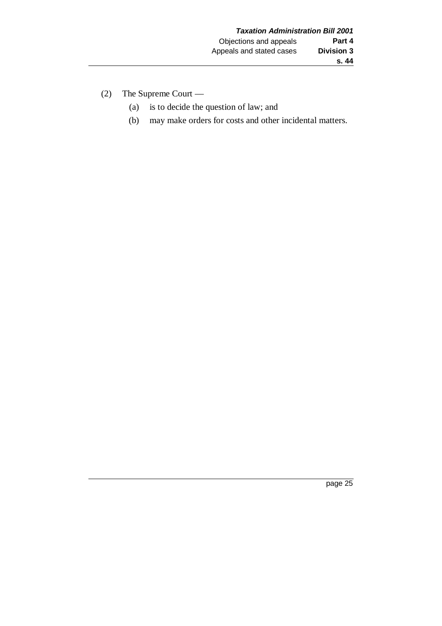- (2) The Supreme Court
	- (a) is to decide the question of law; and
	- (b) may make orders for costs and other incidental matters.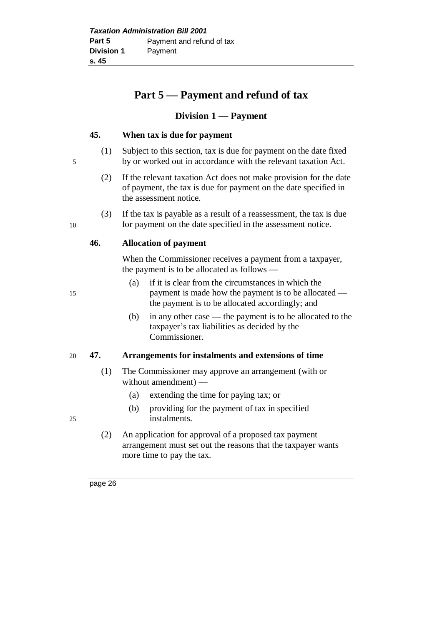# **Part 5 — Payment and refund of tax**

## **Division 1 — Payment**

## **45. When tax is due for payment**

- (1) Subject to this section, tax is due for payment on the date fixed 5 by or worked out in accordance with the relevant taxation Act.
	- (2) If the relevant taxation Act does not make provision for the date of payment, the tax is due for payment on the date specified in the assessment notice.
- (3) If the tax is payable as a result of a reassessment, the tax is due 10 for payment on the date specified in the assessment notice.

## **46. Allocation of payment**

When the Commissioner receives a payment from a taxpayer, the payment is to be allocated as follows —

- (a) if it is clear from the circumstances in which the 15 payment is made how the payment is to be allocated the payment is to be allocated accordingly; and
	- (b) in any other case the payment is to be allocated to the taxpayer's tax liabilities as decided by the Commissioner.

## 20 **47. Arrangements for instalments and extensions of time**

- (1) The Commissioner may approve an arrangement (with or without amendment) —
	- (a) extending the time for paying tax; or
- (b) providing for the payment of tax in specified 25 instalments.
	- (2) An application for approval of a proposed tax payment arrangement must set out the reasons that the taxpayer wants more time to pay the tax.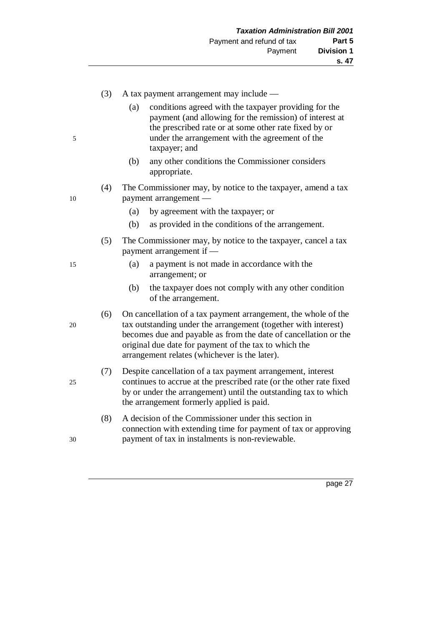| (3)<br>A tax payment arrangement may include —<br>conditions agreed with the taxpayer providing for the<br>(a)<br>payment (and allowing for the remission) of interest at<br>the prescribed rate or at some other rate fixed by or<br>under the arrangement with the agreement of the<br>5<br>taxpayer; and<br>(b)<br>any other conditions the Commissioner considers<br>appropriate.<br>(4)<br>payment arrangement —<br>10<br>by agreement with the taxpayer; or<br>(a)<br>(b)<br>as provided in the conditions of the arrangement.<br>(5)<br>payment arrangement if —<br>a payment is not made in accordance with the<br>(a)<br>15<br>arrangement; or<br>the taxpayer does not comply with any other condition<br>(b)<br>of the arrangement.<br>(6)<br>tax outstanding under the arrangement (together with interest)<br>20<br>original due date for payment of the tax to which the<br>arrangement relates (whichever is the later).<br>Despite cancellation of a tax payment arrangement, interest<br>(7)<br>25<br>the arrangement formerly applied is paid.<br>A decision of the Commissioner under this section in<br>(8)<br>payment of tax in instalments is non-reviewable.<br>30 |  |                                                                                                                                        |
|-------------------------------------------------------------------------------------------------------------------------------------------------------------------------------------------------------------------------------------------------------------------------------------------------------------------------------------------------------------------------------------------------------------------------------------------------------------------------------------------------------------------------------------------------------------------------------------------------------------------------------------------------------------------------------------------------------------------------------------------------------------------------------------------------------------------------------------------------------------------------------------------------------------------------------------------------------------------------------------------------------------------------------------------------------------------------------------------------------------------------------------------------------------------------------------------|--|----------------------------------------------------------------------------------------------------------------------------------------|
|                                                                                                                                                                                                                                                                                                                                                                                                                                                                                                                                                                                                                                                                                                                                                                                                                                                                                                                                                                                                                                                                                                                                                                                           |  |                                                                                                                                        |
|                                                                                                                                                                                                                                                                                                                                                                                                                                                                                                                                                                                                                                                                                                                                                                                                                                                                                                                                                                                                                                                                                                                                                                                           |  |                                                                                                                                        |
|                                                                                                                                                                                                                                                                                                                                                                                                                                                                                                                                                                                                                                                                                                                                                                                                                                                                                                                                                                                                                                                                                                                                                                                           |  | The Commissioner may, by notice to the taxpayer, amend a tax                                                                           |
|                                                                                                                                                                                                                                                                                                                                                                                                                                                                                                                                                                                                                                                                                                                                                                                                                                                                                                                                                                                                                                                                                                                                                                                           |  |                                                                                                                                        |
|                                                                                                                                                                                                                                                                                                                                                                                                                                                                                                                                                                                                                                                                                                                                                                                                                                                                                                                                                                                                                                                                                                                                                                                           |  |                                                                                                                                        |
|                                                                                                                                                                                                                                                                                                                                                                                                                                                                                                                                                                                                                                                                                                                                                                                                                                                                                                                                                                                                                                                                                                                                                                                           |  | The Commissioner may, by notice to the taxpayer, cancel a tax                                                                          |
|                                                                                                                                                                                                                                                                                                                                                                                                                                                                                                                                                                                                                                                                                                                                                                                                                                                                                                                                                                                                                                                                                                                                                                                           |  |                                                                                                                                        |
|                                                                                                                                                                                                                                                                                                                                                                                                                                                                                                                                                                                                                                                                                                                                                                                                                                                                                                                                                                                                                                                                                                                                                                                           |  |                                                                                                                                        |
|                                                                                                                                                                                                                                                                                                                                                                                                                                                                                                                                                                                                                                                                                                                                                                                                                                                                                                                                                                                                                                                                                                                                                                                           |  | On cancellation of a tax payment arrangement, the whole of the<br>becomes due and payable as from the date of cancellation or the      |
|                                                                                                                                                                                                                                                                                                                                                                                                                                                                                                                                                                                                                                                                                                                                                                                                                                                                                                                                                                                                                                                                                                                                                                                           |  | continues to accrue at the prescribed rate (or the other rate fixed<br>by or under the arrangement) until the outstanding tax to which |
|                                                                                                                                                                                                                                                                                                                                                                                                                                                                                                                                                                                                                                                                                                                                                                                                                                                                                                                                                                                                                                                                                                                                                                                           |  | connection with extending time for payment of tax or approving                                                                         |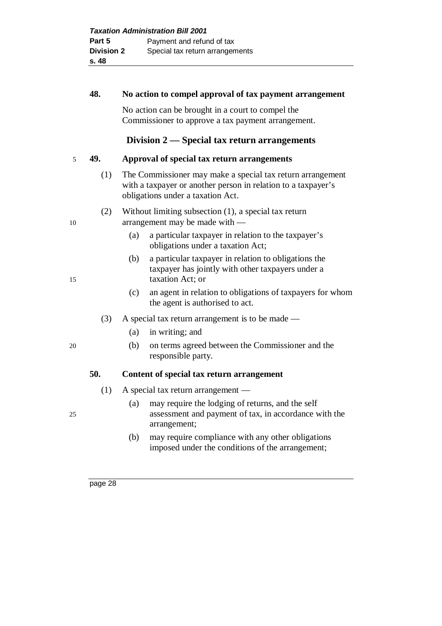|                          | 48. | No action to compel approval of tax payment arrangement                                                                                                          |
|--------------------------|-----|------------------------------------------------------------------------------------------------------------------------------------------------------------------|
|                          |     | No action can be brought in a court to compel the<br>Commissioner to approve a tax payment arrangement.                                                          |
|                          |     | Division $2$ — Special tax return arrangements                                                                                                                   |
| $\overline{\phantom{0}}$ | 49. | Approval of special tax return arrangements                                                                                                                      |
|                          | (1) | The Commissioner may make a special tax return arrangement<br>with a taxpayer or another person in relation to a taxpayer's<br>obligations under a taxation Act. |
| 10                       | (2) | Without limiting subsection $(1)$ , a special tax return<br>arrangement may be made with $-$                                                                     |
|                          |     | a particular taxpayer in relation to the taxpayer's<br>(a)<br>obligations under a taxation Act;                                                                  |
| 15                       |     | a particular taxpayer in relation to obligations the<br>(b)<br>taxpayer has jointly with other taxpayers under a<br>taxation Act; or                             |
|                          |     | an agent in relation to obligations of taxpayers for whor<br>(c)                                                                                                 |

- (c) an agent in relation to obligations of taxpayers for whom the agent is authorised to act.
- (3) A special tax return arrangement is to be made
	- (a) in writing; and
- 20 (b) on terms agreed between the Commissioner and the responsible party.

## **50. Content of special tax return arrangement**

- (1) A special tax return arrangement —
- (a) may require the lodging of returns, and the self 25 assessment and payment of tax, in accordance with the arrangement;
	- (b) may require compliance with any other obligations imposed under the conditions of the arrangement;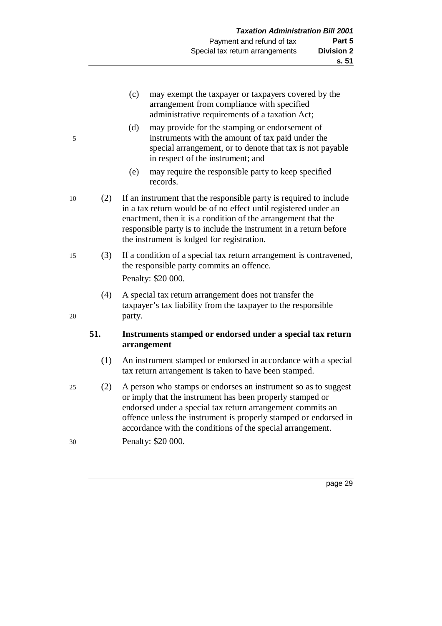- (c) may exempt the taxpayer or taxpayers covered by the arrangement from compliance with specified administrative requirements of a taxation Act;
- (d) may provide for the stamping or endorsement of 5 instruments with the amount of tax paid under the special arrangement, or to denote that tax is not payable in respect of the instrument; and
	- (e) may require the responsible party to keep specified records.
- 10 (2) If an instrument that the responsible party is required to include in a tax return would be of no effect until registered under an enactment, then it is a condition of the arrangement that the responsible party is to include the instrument in a return before the instrument is lodged for registration.
- 15 (3) If a condition of a special tax return arrangement is contravened, the responsible party commits an offence. Penalty: \$20 000.
- (4) A special tax return arrangement does not transfer the taxpayer's tax liability from the taxpayer to the responsible 20 party.

## **51. Instruments stamped or endorsed under a special tax return arrangement**

- (1) An instrument stamped or endorsed in accordance with a special tax return arrangement is taken to have been stamped.
- 25 (2) A person who stamps or endorses an instrument so as to suggest or imply that the instrument has been properly stamped or endorsed under a special tax return arrangement commits an offence unless the instrument is properly stamped or endorsed in accordance with the conditions of the special arrangement.
- 30 Penalty: \$20 000.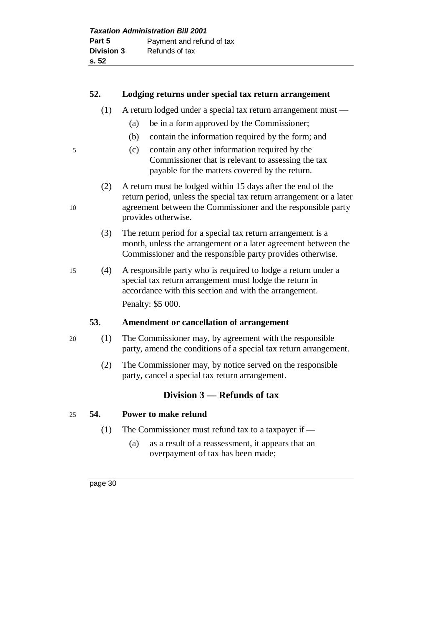## **52. Lodging returns under special tax return arrangement**

- (1) A return lodged under a special tax return arrangement must
	- (a) be in a form approved by the Commissioner;
	- (b) contain the information required by the form; and
- 5 (c) contain any other information required by the Commissioner that is relevant to assessing the tax payable for the matters covered by the return.
- (2) A return must be lodged within 15 days after the end of the return period, unless the special tax return arrangement or a later 10 agreement between the Commissioner and the responsible party provides otherwise.
	- (3) The return period for a special tax return arrangement is a month, unless the arrangement or a later agreement between the Commissioner and the responsible party provides otherwise.
- 15 (4) A responsible party who is required to lodge a return under a special tax return arrangement must lodge the return in accordance with this section and with the arrangement. Penalty: \$5 000.

#### **53. Amendment or cancellation of arrangement**

- 20 (1) The Commissioner may, by agreement with the responsible party, amend the conditions of a special tax return arrangement.
	- (2) The Commissioner may, by notice served on the responsible party, cancel a special tax return arrangement.

## **Division 3 — Refunds of tax**

## 25 **54. Power to make refund**

- (1) The Commissioner must refund tax to a taxpayer if
	- (a) as a result of a reassessment, it appears that an overpayment of tax has been made;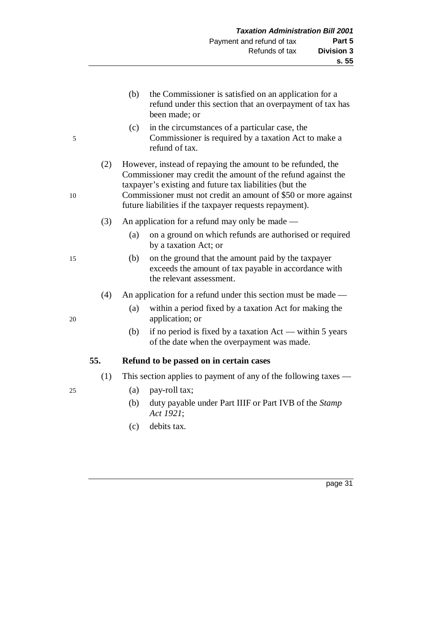(b) the Commissioner is satisfied on an application for a refund under this section that an overpayment of tax has been made; or (c) in the circumstances of a particular case, the 5 Commissioner is required by a taxation Act to make a refund of tax. (2) However, instead of repaying the amount to be refunded, the Commissioner may credit the amount of the refund against the taxpayer's existing and future tax liabilities (but the 10 Commissioner must not credit an amount of \$50 or more against future liabilities if the taxpayer requests repayment). (3) An application for a refund may only be made — (a) on a ground on which refunds are authorised or required by a taxation Act; or 15 (b) on the ground that the amount paid by the taxpayer exceeds the amount of tax payable in accordance with the relevant assessment. (4) An application for a refund under this section must be made — (a) within a period fixed by a taxation Act for making the 20 application; or (b) if no period is fixed by a taxation Act — within 5 years of the date when the overpayment was made.

#### **55. Refund to be passed on in certain cases**

- (1) This section applies to payment of any of the following taxes —
- 25 (a) pay-roll tax;
	- (b) duty payable under Part IIIF or Part IVB of the *Stamp Act 1921*;
	- (c) debits tax.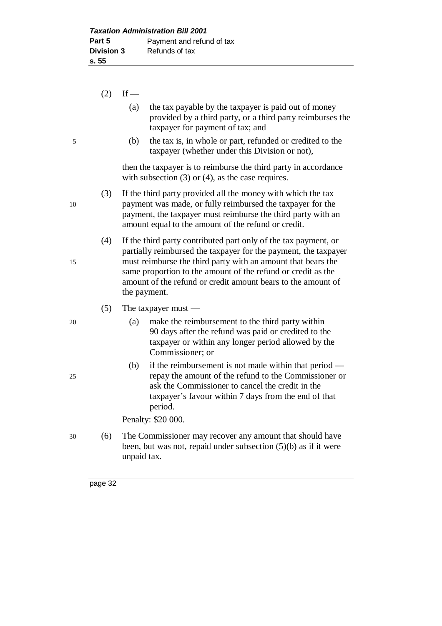|    | (2) | If $-$                                                                                                                                                                                                                                                                                                                                             |  |  |  |
|----|-----|----------------------------------------------------------------------------------------------------------------------------------------------------------------------------------------------------------------------------------------------------------------------------------------------------------------------------------------------------|--|--|--|
|    |     | the tax payable by the taxpayer is paid out of money<br>(a)<br>provided by a third party, or a third party reimburses the<br>taxpayer for payment of tax; and                                                                                                                                                                                      |  |  |  |
| 5  |     | the tax is, in whole or part, refunded or credited to the<br>(b)<br>taxpayer (whether under this Division or not),                                                                                                                                                                                                                                 |  |  |  |
|    |     | then the taxpayer is to reimburse the third party in accordance<br>with subsection $(3)$ or $(4)$ , as the case requires.                                                                                                                                                                                                                          |  |  |  |
| 10 | (3) | If the third party provided all the money with which the tax<br>payment was made, or fully reimbursed the taxpayer for the<br>payment, the taxpayer must reimburse the third party with an<br>amount equal to the amount of the refund or credit.                                                                                                  |  |  |  |
| 15 | (4) | If the third party contributed part only of the tax payment, or<br>partially reimbursed the taxpayer for the payment, the taxpayer<br>must reimburse the third party with an amount that bears the<br>same proportion to the amount of the refund or credit as the<br>amount of the refund or credit amount bears to the amount of<br>the payment. |  |  |  |
|    | (5) | The taxpayer must $-$                                                                                                                                                                                                                                                                                                                              |  |  |  |
| 20 |     | make the reimbursement to the third party within<br>(a)<br>90 days after the refund was paid or credited to the<br>taxpayer or within any longer period allowed by the<br>Commissioner; or                                                                                                                                                         |  |  |  |
| 25 |     | (b)<br>if the reimbursement is not made within that period —<br>repay the amount of the refund to the Commissioner or<br>ask the Commissioner to cancel the credit in the<br>taxpayer's favour within 7 days from the end of that<br>period.                                                                                                       |  |  |  |
|    |     | Penalty: \$20 000.                                                                                                                                                                                                                                                                                                                                 |  |  |  |
| 30 | (6) | The Commissioner may recover any amount that should have<br>been, but was not, repaid under subsection $(5)(b)$ as if it were<br>unpaid tax.                                                                                                                                                                                                       |  |  |  |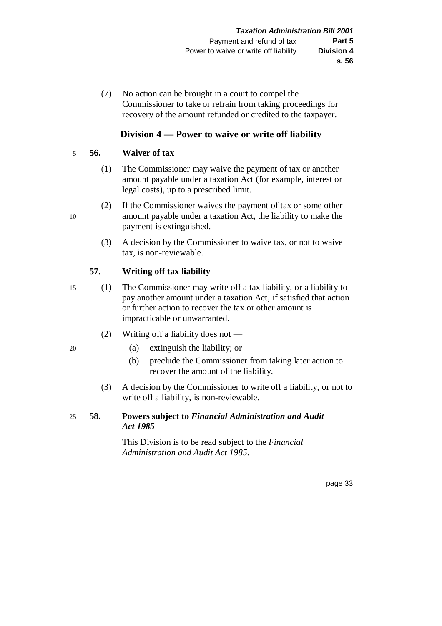(7) No action can be brought in a court to compel the Commissioner to take or refrain from taking proceedings for recovery of the amount refunded or credited to the taxpayer.

# **Division 4 — Power to waive or write off liability**

# 5 **56. Waiver of tax**

- (1) The Commissioner may waive the payment of tax or another amount payable under a taxation Act (for example, interest or legal costs), up to a prescribed limit.
- (2) If the Commissioner waives the payment of tax or some other 10 amount payable under a taxation Act, the liability to make the payment is extinguished.
	- (3) A decision by the Commissioner to waive tax, or not to waive tax, is non-reviewable.

# **57. Writing off tax liability**

- 15 (1) The Commissioner may write off a tax liability, or a liability to pay another amount under a taxation Act, if satisfied that action or further action to recover the tax or other amount is impracticable or unwarranted.
	- (2) Writing off a liability does not —
- 20 (a) extinguish the liability; or
	- (b) preclude the Commissioner from taking later action to recover the amount of the liability.
	- (3) A decision by the Commissioner to write off a liability, or not to write off a liability, is non-reviewable.
- 25 **58. Powers subject to** *Financial Administration and Audit Act 1985*

This Division is to be read subject to the *Financial Administration and Audit Act 1985*.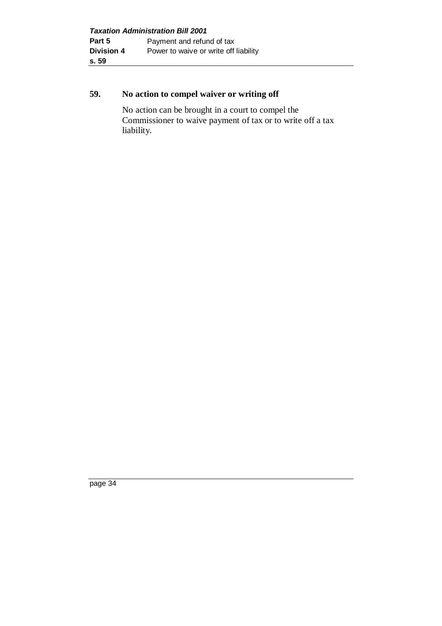# **59. No action to compel waiver or writing off**

No action can be brought in a court to compel the Commissioner to waive payment of tax or to write off a tax liability.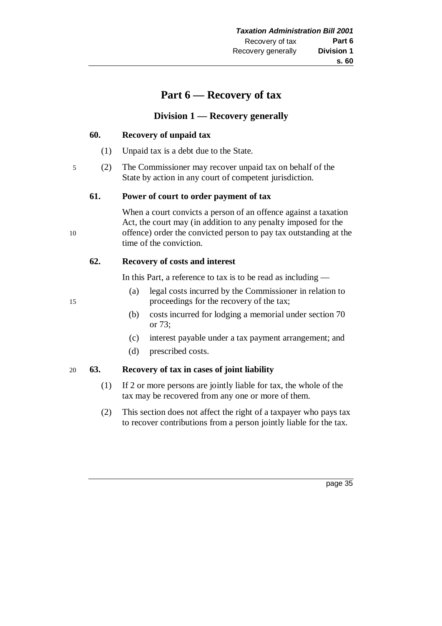# **Part 6 — Recovery of tax**

# **Division 1 — Recovery generally**

#### **60. Recovery of unpaid tax**

- (1) Unpaid tax is a debt due to the State.
- 5 (2) The Commissioner may recover unpaid tax on behalf of the State by action in any court of competent jurisdiction.

#### **61. Power of court to order payment of tax**

When a court convicts a person of an offence against a taxation Act, the court may (in addition to any penalty imposed for the 10 offence) order the convicted person to pay tax outstanding at the time of the conviction.

## **62. Recovery of costs and interest**

In this Part, a reference to tax is to be read as including —

- (a) legal costs incurred by the Commissioner in relation to 15 proceedings for the recovery of the tax;
	- (b) costs incurred for lodging a memorial under section 70 or 73;
	- (c) interest payable under a tax payment arrangement; and
	- (d) prescribed costs.

# 20 **63. Recovery of tax in cases of joint liability**

- (1) If 2 or more persons are jointly liable for tax, the whole of the tax may be recovered from any one or more of them.
- (2) This section does not affect the right of a taxpayer who pays tax to recover contributions from a person jointly liable for the tax.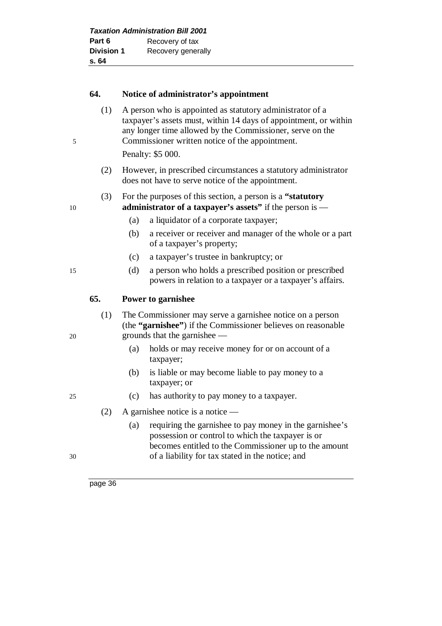| <b>Taxation Administration Bill 2001</b> |                    |  |
|------------------------------------------|--------------------|--|
| Part 6                                   | Recovery of tax    |  |
| <b>Division 1</b>                        | Recovery generally |  |
| s. 64                                    |                    |  |

#### **64. Notice of administrator's appointment**

(1) A person who is appointed as statutory administrator of a taxpayer's assets must, within 14 days of appointment, or within any longer time allowed by the Commissioner, serve on the 5 Commissioner written notice of the appointment.

Penalty: \$5 000.

(2) However, in prescribed circumstances a statutory administrator does not have to serve notice of the appointment.

#### (3) For the purposes of this section, a person is a **"statutory** 10 **administrator of a taxpayer's assets"** if the person is —

- (a) a liquidator of a corporate taxpayer;
- (b) a receiver or receiver and manager of the whole or a part of a taxpayer's property;
- (c) a taxpayer's trustee in bankruptcy; or
- 15 (d) a person who holds a prescribed position or prescribed powers in relation to a taxpayer or a taxpayer's affairs.

#### **65. Power to garnishee**

- (1) The Commissioner may serve a garnishee notice on a person (the **"garnishee"**) if the Commissioner believes on reasonable 20 grounds that the garnishee —
	- (a) holds or may receive money for or on account of a taxpayer;
	- (b) is liable or may become liable to pay money to a taxpayer; or
- 25 (c) has authority to pay money to a taxpayer.
	- (2) A garnishee notice is a notice —
- (a) requiring the garnishee to pay money in the garnishee's possession or control to which the taxpayer is or becomes entitled to the Commissioner up to the amount 30 of a liability for tax stated in the notice; and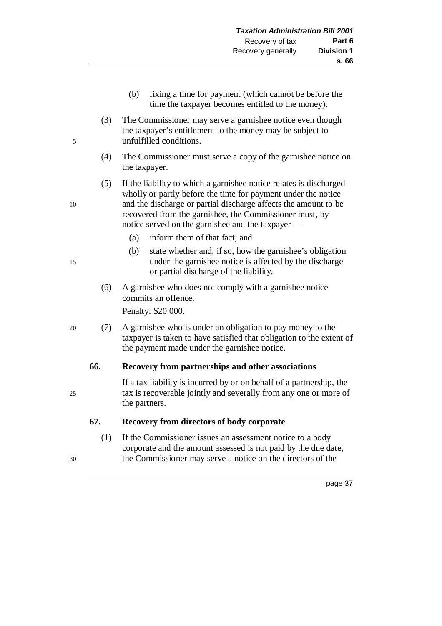| (b) | fixing a time for payment (which cannot be before the |
|-----|-------------------------------------------------------|
|     | time the taxpayer becomes entitled to the money).     |

- (3) The Commissioner may serve a garnishee notice even though the taxpayer's entitlement to the money may be subject to 5 unfulfilled conditions.
	- (4) The Commissioner must serve a copy of the garnishee notice on the taxpayer.
- (5) If the liability to which a garnishee notice relates is discharged wholly or partly before the time for payment under the notice 10 and the discharge or partial discharge affects the amount to be recovered from the garnishee, the Commissioner must, by notice served on the garnishee and the taxpayer —
	- (a) inform them of that fact; and
- (b) state whether and, if so, how the garnishee's obligation 15 under the garnishee notice is affected by the discharge or partial discharge of the liability.
	- (6) A garnishee who does not comply with a garnishee notice commits an offence.

Penalty: \$20 000.

20 (7) A garnishee who is under an obligation to pay money to the taxpayer is taken to have satisfied that obligation to the extent of the payment made under the garnishee notice.

# **66. Recovery from partnerships and other associations**

If a tax liability is incurred by or on behalf of a partnership, the 25 tax is recoverable jointly and severally from any one or more of the partners.

# **67. Recovery from directors of body corporate**

(1) If the Commissioner issues an assessment notice to a body corporate and the amount assessed is not paid by the due date, 30 the Commissioner may serve a notice on the directors of the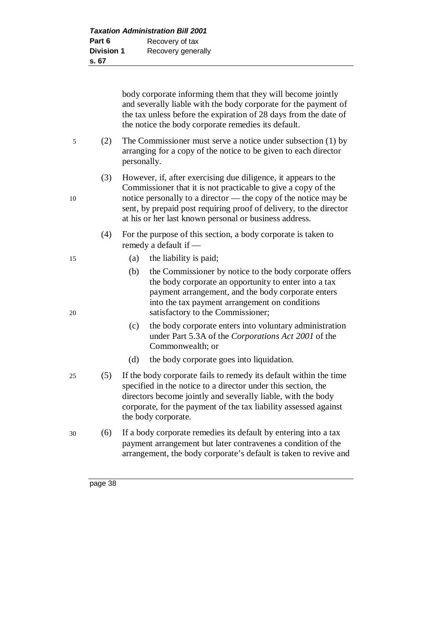| <b>Taxation Administration Bill 2001</b> |                    |  |
|------------------------------------------|--------------------|--|
| Part 6                                   | Recovery of tax    |  |
| <b>Division 1</b>                        | Recovery generally |  |
| s. 67                                    |                    |  |

body corporate informing them that they will become jointly and severally liable with the body corporate for the payment of the tax unless before the expiration of 28 days from the date of the notice the body corporate remedies its default.

- 5 (2) The Commissioner must serve a notice under subsection (1) by arranging for a copy of the notice to be given to each director personally.
- (3) However, if, after exercising due diligence, it appears to the Commissioner that it is not practicable to give a copy of the 10 notice personally to a director — the copy of the notice may be sent, by prepaid post requiring proof of delivery, to the director at his or her last known personal or business address.
	- (4) For the purpose of this section, a body corporate is taken to remedy a default if —
- 15 (a) the liability is paid;
- (b) the Commissioner by notice to the body corporate offers the body corporate an opportunity to enter into a tax payment arrangement, and the body corporate enters into the tax payment arrangement on conditions 20 satisfactory to the Commissioner;
	- (c) the body corporate enters into voluntary administration under Part 5.3A of the *Corporations Act 2001* of the Commonwealth; or
	- (d) the body corporate goes into liquidation.
- 25 (5) If the body corporate fails to remedy its default within the time specified in the notice to a director under this section, the directors become jointly and severally liable, with the body corporate, for the payment of the tax liability assessed against the body corporate.
- 30 (6) If a body corporate remedies its default by entering into a tax payment arrangement but later contravenes a condition of the arrangement, the body corporate's default is taken to revive and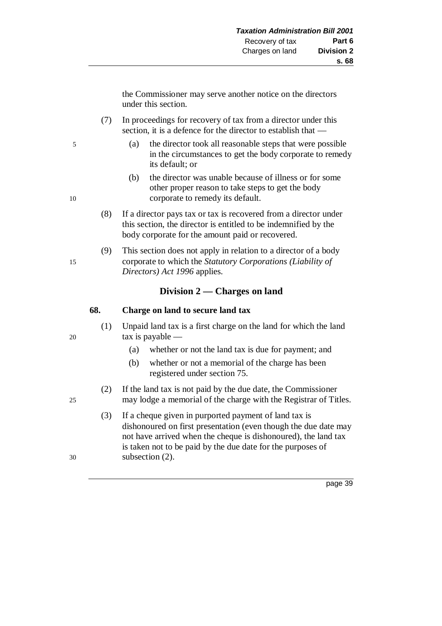the Commissioner may serve another notice on the directors under this section.

- (7) In proceedings for recovery of tax from a director under this section, it is a defence for the director to establish that —
- 5 (a) the director took all reasonable steps that were possible in the circumstances to get the body corporate to remedy its default; or
- (b) the director was unable because of illness or for some other proper reason to take steps to get the body 10 corporate to remedy its default.
	- (8) If a director pays tax or tax is recovered from a director under this section, the director is entitled to be indemnified by the body corporate for the amount paid or recovered.
- (9) This section does not apply in relation to a director of a body 15 corporate to which the *Statutory Corporations (Liability of Directors) Act 1996* applies.

# **Division 2 — Charges on land**

## **68. Charge on land to secure land tax**

- (1) Unpaid land tax is a first charge on the land for which the land 20 tax is payable —
	- (a) whether or not the land tax is due for payment; and
	- (b) whether or not a memorial of the charge has been registered under section 75.
- (2) If the land tax is not paid by the due date, the Commissioner 25 may lodge a memorial of the charge with the Registrar of Titles.
- (3) If a cheque given in purported payment of land tax is dishonoured on first presentation (even though the due date may not have arrived when the cheque is dishonoured), the land tax is taken not to be paid by the due date for the purposes of 30 subsection (2).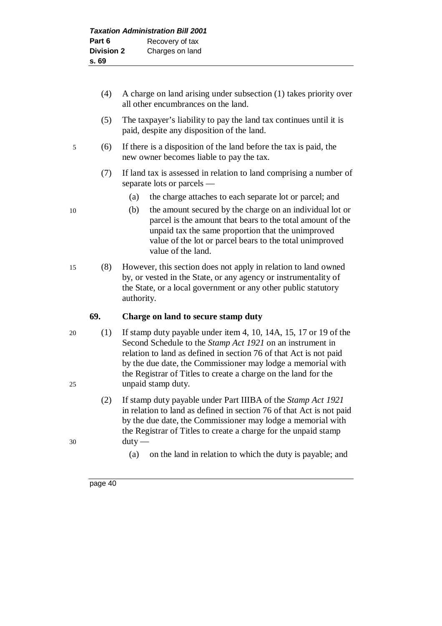- (4) A charge on land arising under subsection (1) takes priority over all other encumbrances on the land.
	- (5) The taxpayer's liability to pay the land tax continues until it is paid, despite any disposition of the land.
- 5 (6) If there is a disposition of the land before the tax is paid, the new owner becomes liable to pay the tax.
	- (7) If land tax is assessed in relation to land comprising a number of separate lots or parcels —
		- (a) the charge attaches to each separate lot or parcel; and
- 10 (b) the amount secured by the charge on an individual lot or parcel is the amount that bears to the total amount of the unpaid tax the same proportion that the unimproved value of the lot or parcel bears to the total unimproved value of the land.
- 15 (8) However, this section does not apply in relation to land owned by, or vested in the State, or any agency or instrumentality of the State, or a local government or any other public statutory authority.

# **69. Charge on land to secure stamp duty**

- 20 (1) If stamp duty payable under item 4, 10, 14A, 15, 17 or 19 of the Second Schedule to the *Stamp Act 1921* on an instrument in relation to land as defined in section 76 of that Act is not paid by the due date, the Commissioner may lodge a memorial with the Registrar of Titles to create a charge on the land for the 25 unpaid stamp duty.
- (2) If stamp duty payable under Part IIIBA of the *Stamp Act 1921* in relation to land as defined in section 76 of that Act is not paid by the due date, the Commissioner may lodge a memorial with the Registrar of Titles to create a charge for the unpaid stamp 30 duty —
	- (a) on the land in relation to which the duty is payable; and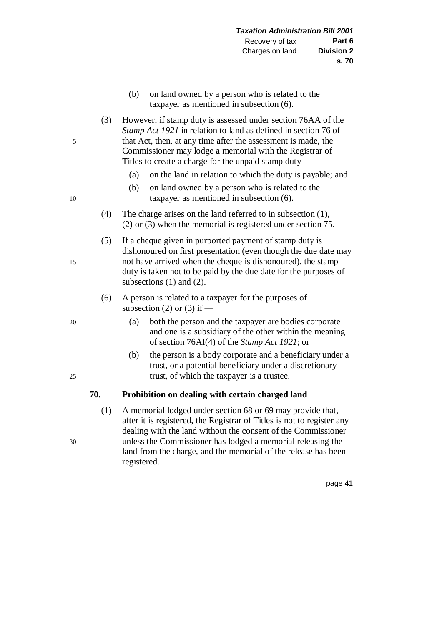- (b) on land owned by a person who is related to the taxpayer as mentioned in subsection (6).
- (3) However, if stamp duty is assessed under section 76AA of the *Stamp Act 1921* in relation to land as defined in section 76 of 5 that Act, then, at any time after the assessment is made, the Commissioner may lodge a memorial with the Registrar of Titles to create a charge for the unpaid stamp duty —
	- (a) on the land in relation to which the duty is payable; and
- (b) on land owned by a person who is related to the 10 taxpayer as mentioned in subsection (6).
	- (4) The charge arises on the land referred to in subsection (1), (2) or (3) when the memorial is registered under section 75.
- (5) If a cheque given in purported payment of stamp duty is dishonoured on first presentation (even though the due date may 15 not have arrived when the cheque is dishonoured), the stamp duty is taken not to be paid by the due date for the purposes of subsections (1) and (2).
	- (6) A person is related to a taxpayer for the purposes of subsection (2) or (3) if  $-$
- 20 (a) both the person and the taxpayer are bodies corporate and one is a subsidiary of the other within the meaning of section 76AI(4) of the *Stamp Act 1921*; or
- (b) the person is a body corporate and a beneficiary under a trust, or a potential beneficiary under a discretionary 25 trust, of which the taxpayer is a trustee.

# **70. Prohibition on dealing with certain charged land**

(1) A memorial lodged under section 68 or 69 may provide that, after it is registered, the Registrar of Titles is not to register any dealing with the land without the consent of the Commissioner 30 unless the Commissioner has lodged a memorial releasing the land from the charge, and the memorial of the release has been registered.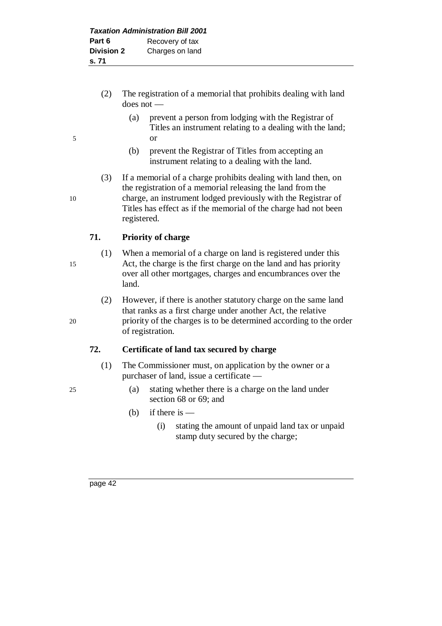- (2) The registration of a memorial that prohibits dealing with land does not —
- (a) prevent a person from lodging with the Registrar of Titles an instrument relating to a dealing with the land; 5 or
	- (b) prevent the Registrar of Titles from accepting an instrument relating to a dealing with the land.
- (3) If a memorial of a charge prohibits dealing with land then, on the registration of a memorial releasing the land from the 10 charge, an instrument lodged previously with the Registrar of Titles has effect as if the memorial of the charge had not been registered.

# **71. Priority of charge**

- (1) When a memorial of a charge on land is registered under this 15 Act, the charge is the first charge on the land and has priority over all other mortgages, charges and encumbrances over the land.
- (2) However, if there is another statutory charge on the same land that ranks as a first charge under another Act, the relative 20 priority of the charges is to be determined according to the order of registration.

# **72. Certificate of land tax secured by charge**

- (1) The Commissioner must, on application by the owner or a purchaser of land, issue a certificate —
- 25 (a) stating whether there is a charge on the land under section 68 or 69; and
	- (b) if there is  $-$ 
		- (i) stating the amount of unpaid land tax or unpaid stamp duty secured by the charge;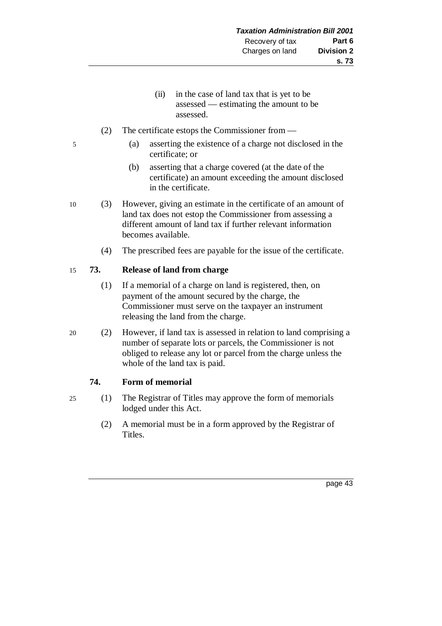- (ii) in the case of land tax that is yet to be assessed — estimating the amount to be assessed.
- (2) The certificate estops the Commissioner from —
- 5 (a) asserting the existence of a charge not disclosed in the certificate; or
	- (b) asserting that a charge covered (at the date of the certificate) an amount exceeding the amount disclosed in the certificate.
- 10 (3) However, giving an estimate in the certificate of an amount of land tax does not estop the Commissioner from assessing a different amount of land tax if further relevant information becomes available.
	- (4) The prescribed fees are payable for the issue of the certificate.

## 15 **73. Release of land from charge**

- (1) If a memorial of a charge on land is registered, then, on payment of the amount secured by the charge, the Commissioner must serve on the taxpayer an instrument releasing the land from the charge.
- 20 (2) However, if land tax is assessed in relation to land comprising a number of separate lots or parcels, the Commissioner is not obliged to release any lot or parcel from the charge unless the whole of the land tax is paid.

#### **74. Form of memorial**

- 25 (1) The Registrar of Titles may approve the form of memorials lodged under this Act.
	- (2) A memorial must be in a form approved by the Registrar of Titles.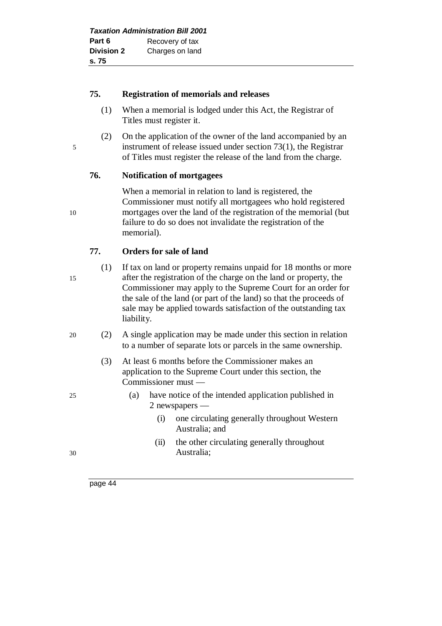| <b>Taxation Administration Bill 2001</b> |                 |  |
|------------------------------------------|-----------------|--|
| Part 6                                   | Recovery of tax |  |
| <b>Division 2</b>                        | Charges on land |  |
| s. 75                                    |                 |  |

#### **75. Registration of memorials and releases**

- (1) When a memorial is lodged under this Act, the Registrar of Titles must register it.
- (2) On the application of the owner of the land accompanied by an 5 instrument of release issued under section 73(1), the Registrar of Titles must register the release of the land from the charge.

# **76. Notification of mortgagees**

When a memorial in relation to land is registered, the Commissioner must notify all mortgagees who hold registered 10 mortgages over the land of the registration of the memorial (but failure to do so does not invalidate the registration of the memorial).

## **77. Orders for sale of land**

- 
- (1) If tax on land or property remains unpaid for 18 months or more 15 after the registration of the charge on the land or property, the Commissioner may apply to the Supreme Court for an order for the sale of the land (or part of the land) so that the proceeds of sale may be applied towards satisfaction of the outstanding tax liability.
- 20 (2) A single application may be made under this section in relation to a number of separate lots or parcels in the same ownership.
	- (3) At least 6 months before the Commissioner makes an application to the Supreme Court under this section, the Commissioner must —
- 25 (a) have notice of the intended application published in 2 newspapers —
	- (i) one circulating generally throughout Western Australia; and
- (ii) the other circulating generally throughout 30 Australia;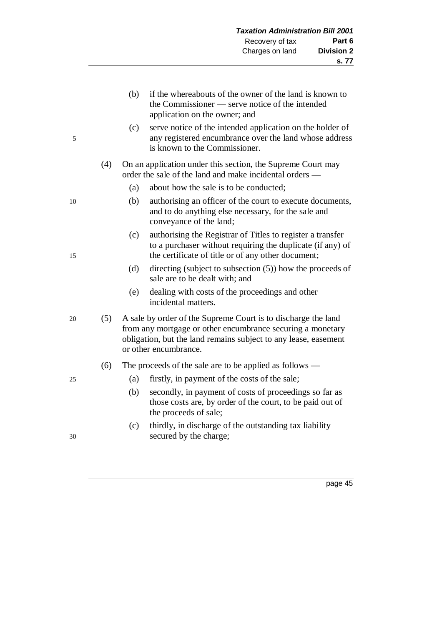(b) if the whereabouts of the owner of the land is known to the Commissioner — serve notice of the intended application on the owner; and (c) serve notice of the intended application on the holder of 5 any registered encumbrance over the land whose address is known to the Commissioner. (4) On an application under this section, the Supreme Court may order the sale of the land and make incidental orders — (a) about how the sale is to be conducted; 10 (b) authorising an officer of the court to execute documents, and to do anything else necessary, for the sale and conveyance of the land; (c) authorising the Registrar of Titles to register a transfer to a purchaser without requiring the duplicate (if any) of 15 the certificate of title or of any other document; (d) directing (subject to subsection (5)) how the proceeds of sale are to be dealt with; and (e) dealing with costs of the proceedings and other incidental matters. 20 (5) A sale by order of the Supreme Court is to discharge the land from any mortgage or other encumbrance securing a monetary obligation, but the land remains subject to any lease, easement or other encumbrance. (6) The proceeds of the sale are to be applied as follows — 25 (a) firstly, in payment of the costs of the sale; (b) secondly, in payment of costs of proceedings so far as those costs are, by order of the court, to be paid out of the proceeds of sale; (c) thirdly, in discharge of the outstanding tax liability 30 secured by the charge;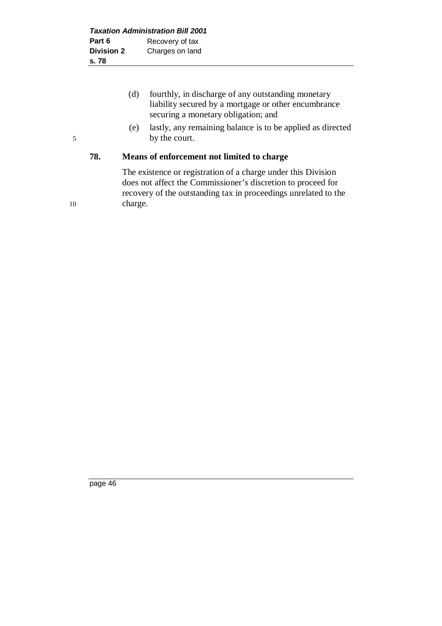- (d) fourthly, in discharge of any outstanding monetary liability secured by a mortgage or other encumbrance securing a monetary obligation; and
- (e) lastly, any remaining balance is to be applied as directed 5 by the court.

# **78. Means of enforcement not limited to charge**

The existence or registration of a charge under this Division does not affect the Commissioner's discretion to proceed for recovery of the outstanding tax in proceedings unrelated to the 10 charge.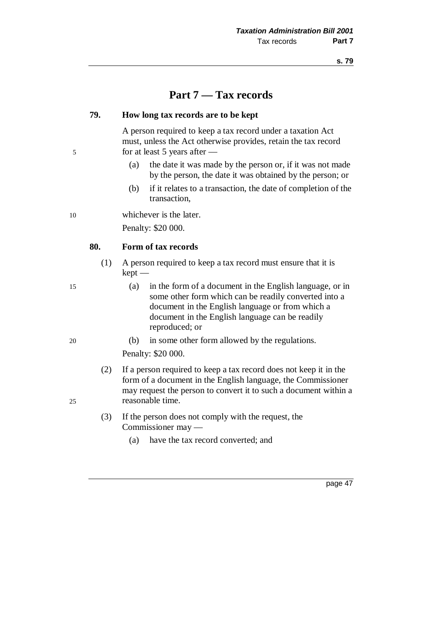# **Part 7 — Tax records**

#### **79. How long tax records are to be kept**

A person required to keep a tax record under a taxation Act must, unless the Act otherwise provides, retain the tax record 5 for at least 5 years after —

- (a) the date it was made by the person or, if it was not made by the person, the date it was obtained by the person; or
- (b) if it relates to a transaction, the date of completion of the transaction,

10 whichever is the later.

Penalty: \$20 000.

## **80. Form of tax records**

- (1) A person required to keep a tax record must ensure that it is kept —
- 15 (a) in the form of a document in the English language, or in some other form which can be readily converted into a document in the English language or from which a document in the English language can be readily reproduced; or
- 20 (b) in some other form allowed by the regulations. Penalty: \$20 000.
- (2) If a person required to keep a tax record does not keep it in the form of a document in the English language, the Commissioner may request the person to convert it to such a document within a 25 reasonable time.
	- (3) If the person does not comply with the request, the Commissioner may —
		- (a) have the tax record converted; and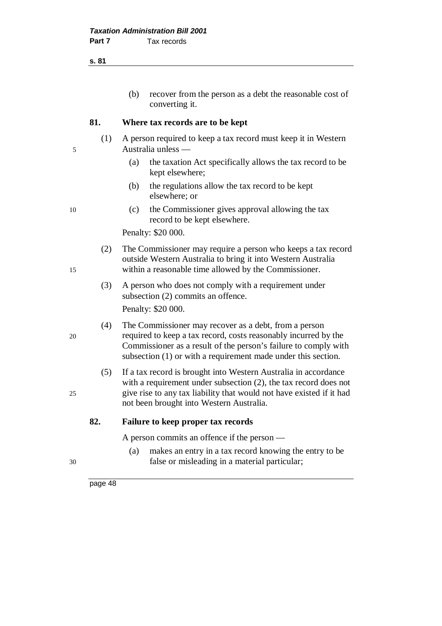**s. 81**

| (b) | recover from the person as a debt the reasonable cost of |
|-----|----------------------------------------------------------|
|     | converting it.                                           |

#### **81. Where tax records are to be kept**

- (1) A person required to keep a tax record must keep it in Western 5 Australia unless —
	- (a) the taxation Act specifically allows the tax record to be kept elsewhere;
	- (b) the regulations allow the tax record to be kept elsewhere; or
- 10 (c) the Commissioner gives approval allowing the tax record to be kept elsewhere.

Penalty: \$20 000.

- (2) The Commissioner may require a person who keeps a tax record outside Western Australia to bring it into Western Australia 15 within a reasonable time allowed by the Commissioner.
	- (3) A person who does not comply with a requirement under subsection (2) commits an offence. Penalty: \$20 000.
- (4) The Commissioner may recover as a debt, from a person 20 required to keep a tax record, costs reasonably incurred by the Commissioner as a result of the person's failure to comply with subsection (1) or with a requirement made under this section.
- (5) If a tax record is brought into Western Australia in accordance with a requirement under subsection (2), the tax record does not 25 give rise to any tax liability that would not have existed if it had not been brought into Western Australia.

#### **82. Failure to keep proper tax records**

A person commits an offence if the person —

(a) makes an entry in a tax record knowing the entry to be 30 false or misleading in a material particular;

- 
-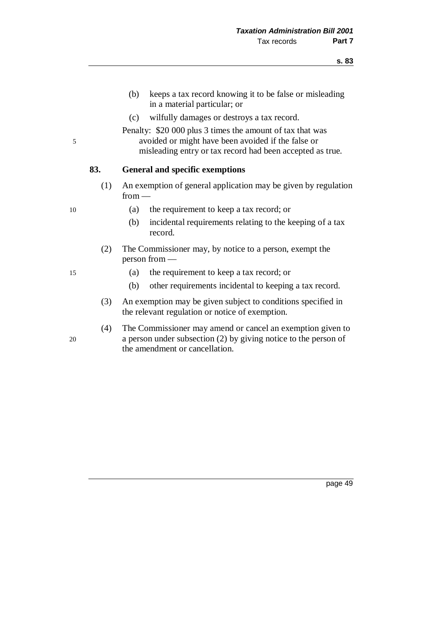- (b) keeps a tax record knowing it to be false or misleading in a material particular; or
- (c) wilfully damages or destroys a tax record.

Penalty: \$20 000 plus 3 times the amount of tax that was 5 avoided or might have been avoided if the false or misleading entry or tax record had been accepted as true.

## **83. General and specific exemptions**

(1) An exemption of general application may be given by regulation from —

- 10 (a) the requirement to keep a tax record; or
	- (b) incidental requirements relating to the keeping of a tax record.
	- (2) The Commissioner may, by notice to a person, exempt the person from —
- 15 (a) the requirement to keep a tax record; or
	- (b) other requirements incidental to keeping a tax record.
	- (3) An exemption may be given subject to conditions specified in the relevant regulation or notice of exemption.
- (4) The Commissioner may amend or cancel an exemption given to 20 a person under subsection (2) by giving notice to the person of the amendment or cancellation.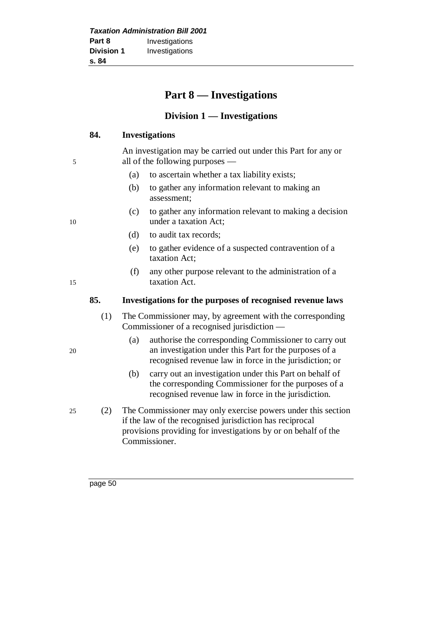# **Part 8 — Investigations**

# **Division 1 — Investigations**

#### **84. Investigations**

An investigation may be carried out under this Part for any or 5 all of the following purposes —

- (a) to ascertain whether a tax liability exists;
- (b) to gather any information relevant to making an assessment;
- (c) to gather any information relevant to making a decision 10 under a taxation Act;
	- (d) to audit tax records;
	- (e) to gather evidence of a suspected contravention of a taxation Act;
- (f) any other purpose relevant to the administration of a 15 taxation Act.

## **85. Investigations for the purposes of recognised revenue laws**

- (1) The Commissioner may, by agreement with the corresponding Commissioner of a recognised jurisdiction —
- (a) authorise the corresponding Commissioner to carry out 20 an investigation under this Part for the purposes of a recognised revenue law in force in the jurisdiction; or
	- (b) carry out an investigation under this Part on behalf of the corresponding Commissioner for the purposes of a recognised revenue law in force in the jurisdiction.
- 25 (2) The Commissioner may only exercise powers under this section if the law of the recognised jurisdiction has reciprocal provisions providing for investigations by or on behalf of the Commissioner.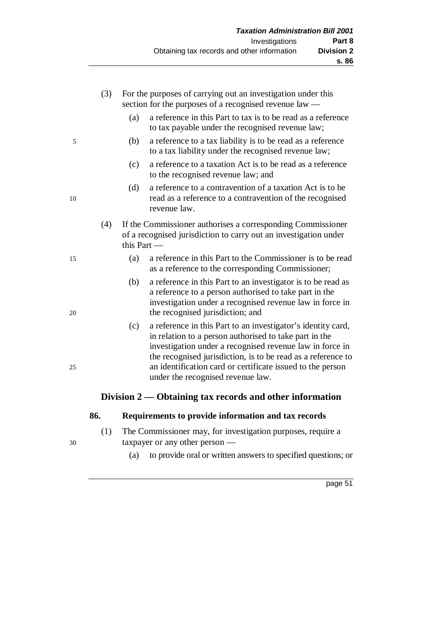|    | (3) |               | For the purposes of carrying out an investigation under this<br>section for the purposes of a recognised revenue law —                                                                                                                                                                                                                                |
|----|-----|---------------|-------------------------------------------------------------------------------------------------------------------------------------------------------------------------------------------------------------------------------------------------------------------------------------------------------------------------------------------------------|
|    |     | (a)           | a reference in this Part to tax is to be read as a reference<br>to tax payable under the recognised revenue law;                                                                                                                                                                                                                                      |
| 5  |     | (b)           | a reference to a tax liability is to be read as a reference<br>to a tax liability under the recognised revenue law;                                                                                                                                                                                                                                   |
|    |     | (c)           | a reference to a taxation Act is to be read as a reference<br>to the recognised revenue law; and                                                                                                                                                                                                                                                      |
| 10 |     | (d)           | a reference to a contravention of a taxation Act is to be<br>read as a reference to a contravention of the recognised<br>revenue law.                                                                                                                                                                                                                 |
|    | (4) | this Part $-$ | If the Commissioner authorises a corresponding Commissioner<br>of a recognised jurisdiction to carry out an investigation under                                                                                                                                                                                                                       |
| 15 |     | (a)           | a reference in this Part to the Commissioner is to be read<br>as a reference to the corresponding Commissioner;                                                                                                                                                                                                                                       |
| 20 |     | (b)           | a reference in this Part to an investigator is to be read as<br>a reference to a person authorised to take part in the<br>investigation under a recognised revenue law in force in<br>the recognised jurisdiction; and                                                                                                                                |
| 25 |     | (c)           | a reference in this Part to an investigator's identity card,<br>in relation to a person authorised to take part in the<br>investigation under a recognised revenue law in force in<br>the recognised jurisdiction, is to be read as a reference to<br>an identification card or certificate issued to the person<br>under the recognised revenue law. |
|    |     |               | Division $2$ — Obtaining tax records and other information                                                                                                                                                                                                                                                                                            |

# **86. Requirements to provide information and tax records**

- (1) The Commissioner may, for investigation purposes, require a 30 taxpayer or any other person —
	- (a) to provide oral or written answers to specified questions; or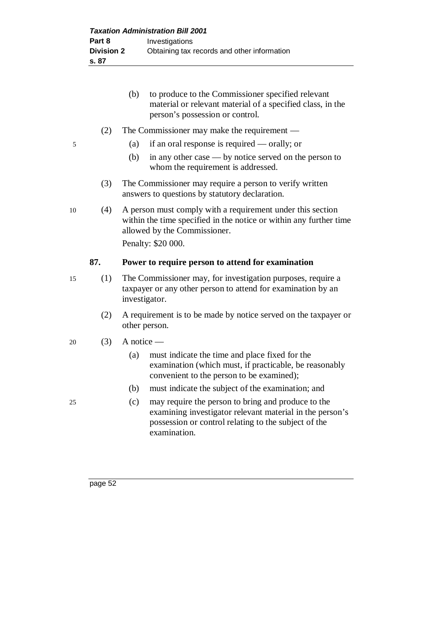|    |     | to produce to the Commissioner specified relevant<br>(b)<br>material or relevant material of a specified class, in the<br>person's possession or control.        |  |  |
|----|-----|------------------------------------------------------------------------------------------------------------------------------------------------------------------|--|--|
|    | (2) | The Commissioner may make the requirement $-$                                                                                                                    |  |  |
| 5  |     | if an oral response is required — orally; or<br>(a)                                                                                                              |  |  |
|    |     | (b)<br>in any other case $-$ by notice served on the person to<br>whom the requirement is addressed.                                                             |  |  |
|    | (3) | The Commissioner may require a person to verify written<br>answers to questions by statutory declaration.                                                        |  |  |
| 10 | (4) | A person must comply with a requirement under this section<br>within the time specified in the notice or within any further time<br>allowed by the Commissioner. |  |  |
|    |     |                                                                                                                                                                  |  |  |
|    |     | Penalty: \$20 000.                                                                                                                                               |  |  |
|    | 87. | Power to require person to attend for examination                                                                                                                |  |  |
| 15 | (1) | The Commissioner may, for investigation purposes, require a<br>taxpayer or any other person to attend for examination by an<br>investigator.                     |  |  |
|    | (2) | A requirement is to be made by notice served on the taxpayer or<br>other person.                                                                                 |  |  |
| 20 | (3) | A notice —                                                                                                                                                       |  |  |
|    |     | must indicate the time and place fixed for the<br>(a)<br>examination (which must, if practicable, be reasonably<br>convenient to the person to be examined);     |  |  |
|    |     | (b)<br>must indicate the subject of the examination; and                                                                                                         |  |  |

examining investigator relevant material in the person's possession or control relating to the subject of the examination.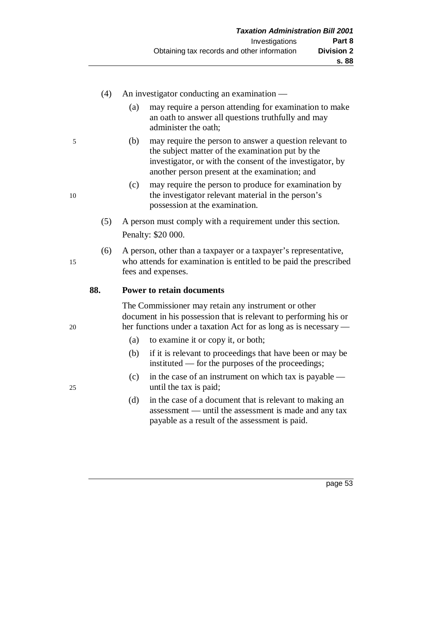## (4) An investigator conducting an examination —

- (a) may require a person attending for examination to make an oath to answer all questions truthfully and may administer the oath;
- 5 (b) may require the person to answer a question relevant to the subject matter of the examination put by the investigator, or with the consent of the investigator, by another person present at the examination; and
- (c) may require the person to produce for examination by 10 the investigator relevant material in the person's possession at the examination.
	- (5) A person must comply with a requirement under this section. Penalty: \$20 000.
- (6) A person, other than a taxpayer or a taxpayer's representative, 15 who attends for examination is entitled to be paid the prescribed fees and expenses.

## **88. Power to retain documents**

The Commissioner may retain any instrument or other document in his possession that is relevant to performing his or 20 her functions under a taxation Act for as long as is necessary —

- (a) to examine it or copy it, or both;
- (b) if it is relevant to proceedings that have been or may be instituted — for the purposes of the proceedings;
- (c) in the case of an instrument on which tax is payable 25 until the tax is paid;
	- (d) in the case of a document that is relevant to making an assessment — until the assessment is made and any tax payable as a result of the assessment is paid.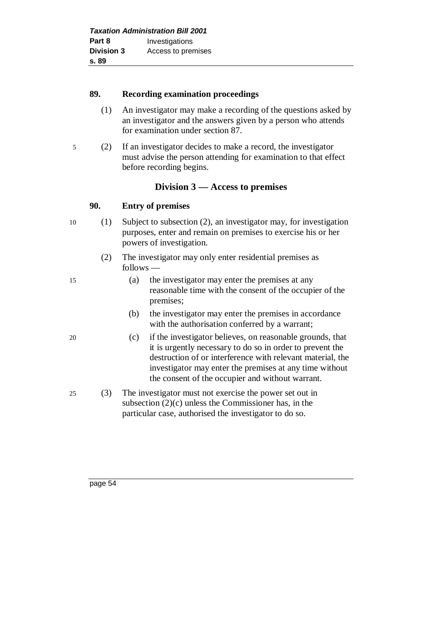| <b>Taxation Administration Bill 2001</b> |                    |  |
|------------------------------------------|--------------------|--|
| Part 8                                   | Investigations     |  |
| <b>Division 3</b>                        | Access to premises |  |
| s. 89                                    |                    |  |

## **89. Recording examination proceedings**

- (1) An investigator may make a recording of the questions asked by an investigator and the answers given by a person who attends for examination under section 87.
- 5 (2) If an investigator decides to make a record, the investigator must advise the person attending for examination to that effect before recording begins.

# **Division 3 — Access to premises**

# **90. Entry of premises**

- 10 (1) Subject to subsection (2), an investigator may, for investigation purposes, enter and remain on premises to exercise his or her powers of investigation.
	- (2) The investigator may only enter residential premises as follows —
- 15 (a) the investigator may enter the premises at any reasonable time with the consent of the occupier of the premises;
	- (b) the investigator may enter the premises in accordance with the authorisation conferred by a warrant;
- 20 (c) if the investigator believes, on reasonable grounds, that it is urgently necessary to do so in order to prevent the destruction of or interference with relevant material, the investigator may enter the premises at any time without the consent of the occupier and without warrant.
- 25 (3) The investigator must not exercise the power set out in subsection (2)(c) unless the Commissioner has, in the particular case, authorised the investigator to do so.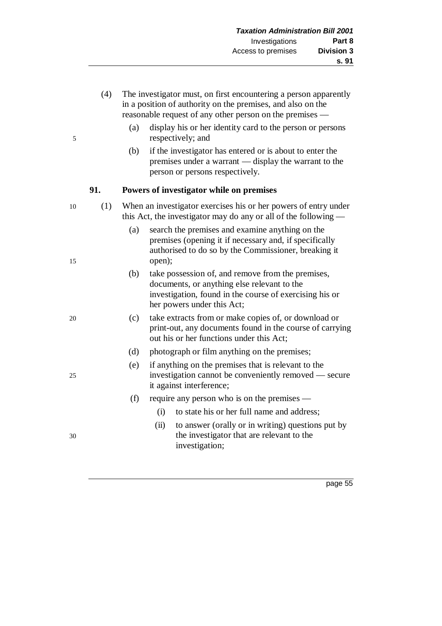- (4) The investigator must, on first encountering a person apparently in a position of authority on the premises, and also on the reasonable request of any other person on the premises —
- (a) display his or her identity card to the person or persons 5 respectively; and
	- (b) if the investigator has entered or is about to enter the premises under a warrant — display the warrant to the person or persons respectively.

## **91. Powers of investigator while on premises**

- 10 (1) When an investigator exercises his or her powers of entry under this Act, the investigator may do any or all of the following —
- (a) search the premises and examine anything on the premises (opening it if necessary and, if specifically authorised to do so by the Commissioner, breaking it 15 open);
	- (b) take possession of, and remove from the premises, documents, or anything else relevant to the investigation, found in the course of exercising his or her powers under this Act;
- 20 (c) take extracts from or make copies of, or download or print-out, any documents found in the course of carrying out his or her functions under this Act;
	- (d) photograph or film anything on the premises;
- (e) if anything on the premises that is relevant to the 25 investigation cannot be conveniently removed — secure it against interference;
	- (f) require any person who is on the premises
		- (i) to state his or her full name and address;
- (ii) to answer (orally or in writing) questions put by 30 the investigator that are relevant to the investigation;
- 

- 
- 
- 
-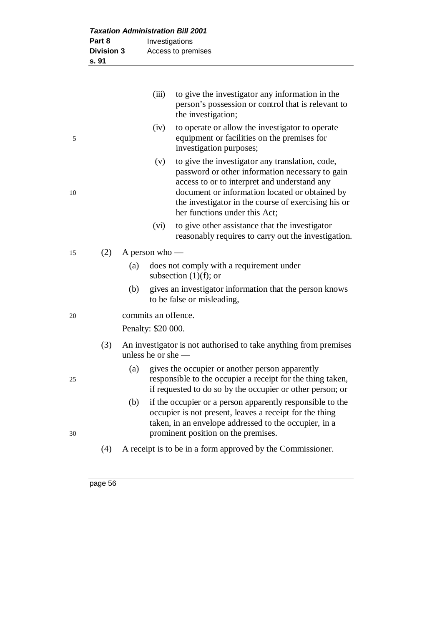| Part 8            |     | Investigations       |                                                                                                                                                                                                                                                                                              |  |  |
|-------------------|-----|----------------------|----------------------------------------------------------------------------------------------------------------------------------------------------------------------------------------------------------------------------------------------------------------------------------------------|--|--|
| <b>Division 3</b> |     | Access to premises   |                                                                                                                                                                                                                                                                                              |  |  |
| s. 91             |     |                      |                                                                                                                                                                                                                                                                                              |  |  |
|                   |     |                      |                                                                                                                                                                                                                                                                                              |  |  |
|                   |     | (iii)                | to give the investigator any information in the<br>person's possession or control that is relevant to<br>the investigation;                                                                                                                                                                  |  |  |
|                   |     | (iv)                 | to operate or allow the investigator to operate<br>equipment or facilities on the premises for<br>investigation purposes;                                                                                                                                                                    |  |  |
|                   |     | (v)                  | to give the investigator any translation, code,<br>password or other information necessary to gain<br>access to or to interpret and understand any<br>document or information located or obtained by<br>the investigator in the course of exercising his or<br>her functions under this Act; |  |  |
|                   |     | (vi)                 | to give other assistance that the investigator<br>reasonably requires to carry out the investigation.                                                                                                                                                                                        |  |  |
| (2)               |     | A person who -       |                                                                                                                                                                                                                                                                                              |  |  |
|                   | (a) |                      | does not comply with a requirement under<br>subsection $(1)(f)$ ; or                                                                                                                                                                                                                         |  |  |
|                   | (b) |                      | gives an investigator information that the person knows<br>to be false or misleading,                                                                                                                                                                                                        |  |  |
|                   |     | commits an offence.  |                                                                                                                                                                                                                                                                                              |  |  |
|                   |     | Penalty: \$20 000.   |                                                                                                                                                                                                                                                                                              |  |  |
| (3)               |     | unless he or she $-$ | An investigator is not authorised to take anything from premises                                                                                                                                                                                                                             |  |  |
|                   | (a) |                      | gives the occupier or another person apparently<br>responsible to the occupier a receipt for the thing taken,<br>if requested to do so by the occupier or other person; or                                                                                                                   |  |  |
|                   | (b) |                      | if the occupier or a person apparently responsible to the<br>occupier is not present, leaves a receipt for the thing<br>taken, in an envelope addressed to the occupier, in a<br>prominent position on the premises.                                                                         |  |  |
| (4)               |     |                      | A receipt is to be in a form approved by the Commissioner.                                                                                                                                                                                                                                   |  |  |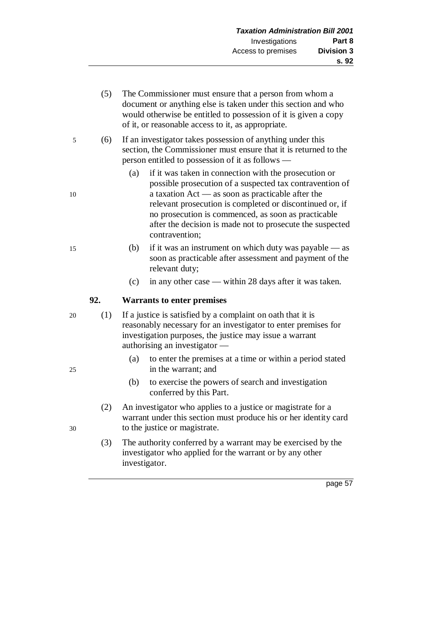- (5) The Commissioner must ensure that a person from whom a document or anything else is taken under this section and who would otherwise be entitled to possession of it is given a copy of it, or reasonable access to it, as appropriate.
- 5 (6) If an investigator takes possession of anything under this section, the Commissioner must ensure that it is returned to the person entitled to possession of it as follows —
- (a) if it was taken in connection with the prosecution or possible prosecution of a suspected tax contravention of 10 a taxation Act — as soon as practicable after the relevant prosecution is completed or discontinued or, if no prosecution is commenced, as soon as practicable after the decision is made not to prosecute the suspected contravention;
- 15 (b) if it was an instrument on which duty was payable as soon as practicable after assessment and payment of the relevant duty;
	- (c) in any other case within 28 days after it was taken.

# **92. Warrants to enter premises**

- 20 (1) If a justice is satisfied by a complaint on oath that it is reasonably necessary for an investigator to enter premises for investigation purposes, the justice may issue a warrant authorising an investigator —
- (a) to enter the premises at a time or within a period stated 25 in the warrant; and
	- (b) to exercise the powers of search and investigation conferred by this Part.
- (2) An investigator who applies to a justice or magistrate for a warrant under this section must produce his or her identity card 30 to the justice or magistrate.
	- (3) The authority conferred by a warrant may be exercised by the investigator who applied for the warrant or by any other investigator.
		- page 57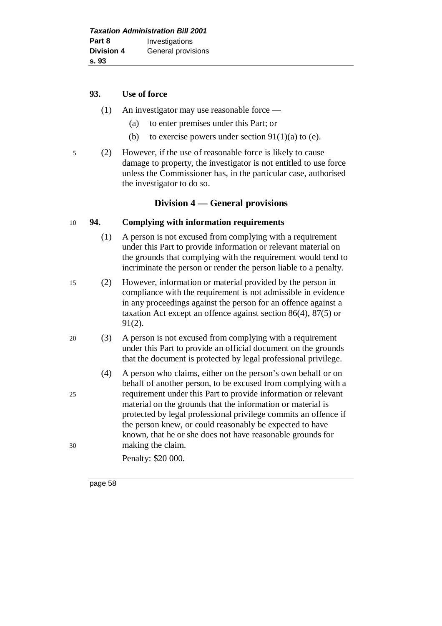#### **93. Use of force**

- (1) An investigator may use reasonable force
	- (a) to enter premises under this Part; or
	- (b) to exercise powers under section  $91(1)(a)$  to (e).
- 5 (2) However, if the use of reasonable force is likely to cause damage to property, the investigator is not entitled to use force unless the Commissioner has, in the particular case, authorised the investigator to do so.

# **Division 4 — General provisions**

## 10 **94. Complying with information requirements**

- (1) A person is not excused from complying with a requirement under this Part to provide information or relevant material on the grounds that complying with the requirement would tend to incriminate the person or render the person liable to a penalty.
- 15 (2) However, information or material provided by the person in compliance with the requirement is not admissible in evidence in any proceedings against the person for an offence against a taxation Act except an offence against section 86(4), 87(5) or 91(2).
- 20 (3) A person is not excused from complying with a requirement under this Part to provide an official document on the grounds that the document is protected by legal professional privilege.
- (4) A person who claims, either on the person's own behalf or on behalf of another person, to be excused from complying with a 25 requirement under this Part to provide information or relevant material on the grounds that the information or material is protected by legal professional privilege commits an offence if the person knew, or could reasonably be expected to have known, that he or she does not have reasonable grounds for 30 making the claim.
	- Penalty: \$20 000.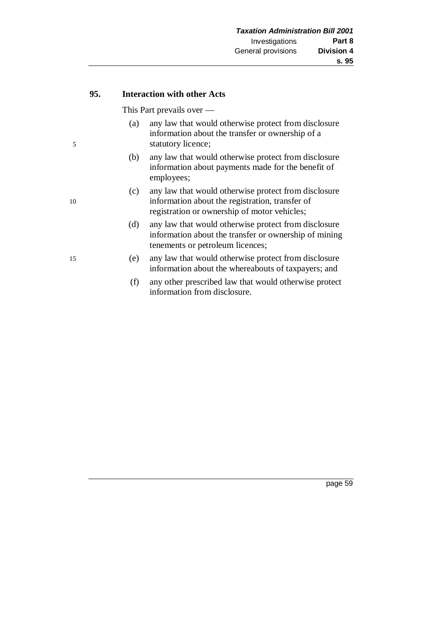#### **95. Interaction with other Acts**

This Part prevails over —

- (a) any law that would otherwise protect from disclosure information about the transfer or ownership of a 5 statutory licence;
	- (b) any law that would otherwise protect from disclosure information about payments made for the benefit of employees;
- (c) any law that would otherwise protect from disclosure 10 information about the registration, transfer of registration or ownership of motor vehicles;
	- (d) any law that would otherwise protect from disclosure information about the transfer or ownership of mining tenements or petroleum licences;
- 15 (e) any law that would otherwise protect from disclosure information about the whereabouts of taxpayers; and
	- (f) any other prescribed law that would otherwise protect information from disclosure.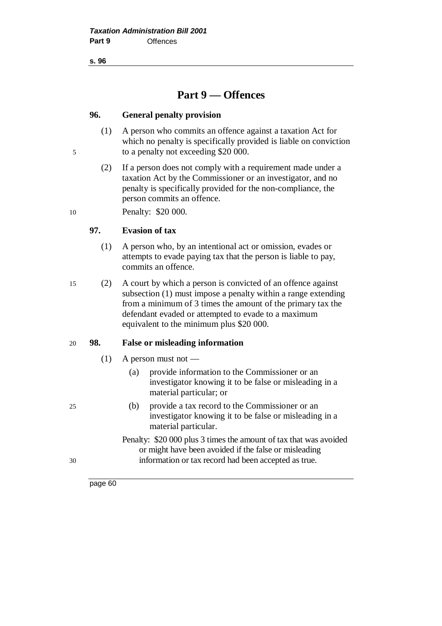**s. 96**

# **Part 9 — Offences**

#### **96. General penalty provision**

- (1) A person who commits an offence against a taxation Act for which no penalty is specifically provided is liable on conviction 5 to a penalty not exceeding \$20 000.
	- (2) If a person does not comply with a requirement made under a taxation Act by the Commissioner or an investigator, and no penalty is specifically provided for the non-compliance, the person commits an offence.

10 Penalty: \$20 000.

## **97. Evasion of tax**

- (1) A person who, by an intentional act or omission, evades or attempts to evade paying tax that the person is liable to pay, commits an offence.
- 15 (2) A court by which a person is convicted of an offence against subsection (1) must impose a penalty within a range extending from a minimum of 3 times the amount of the primary tax the defendant evaded or attempted to evade to a maximum equivalent to the minimum plus \$20 000.

#### 20 **98. False or misleading information**

- $(1)$  A person must not
	- (a) provide information to the Commissioner or an investigator knowing it to be false or misleading in a material particular; or
- 25 (b) provide a tax record to the Commissioner or an investigator knowing it to be false or misleading in a material particular.
- Penalty: \$20 000 plus 3 times the amount of tax that was avoided or might have been avoided if the false or misleading 30 information or tax record had been accepted as true.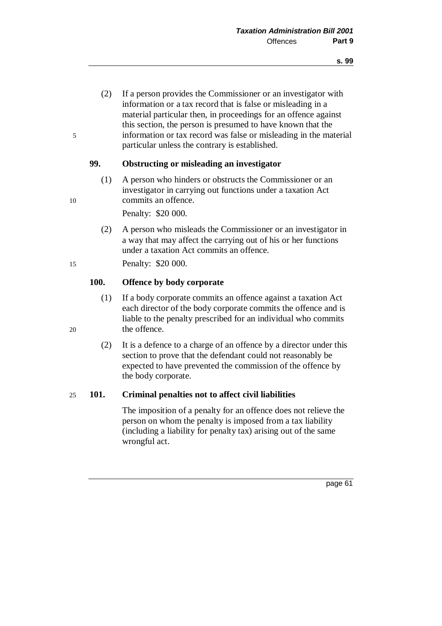(2) If a person provides the Commissioner or an investigator with information or a tax record that is false or misleading in a material particular then, in proceedings for an offence against this section, the person is presumed to have known that the 5 information or tax record was false or misleading in the material particular unless the contrary is established.

#### **99. Obstructing or misleading an investigator**

(1) A person who hinders or obstructs the Commissioner or an investigator in carrying out functions under a taxation Act 10 commits an offence.

Penalty: \$20 000.

(2) A person who misleads the Commissioner or an investigator in a way that may affect the carrying out of his or her functions under a taxation Act commits an offence.

15 Penalty: \$20 000.

#### **100. Offence by body corporate**

- (1) If a body corporate commits an offence against a taxation Act each director of the body corporate commits the offence and is liable to the penalty prescribed for an individual who commits 20 the offence.
	- (2) It is a defence to a charge of an offence by a director under this section to prove that the defendant could not reasonably be expected to have prevented the commission of the offence by the body corporate.

#### 25 **101. Criminal penalties not to affect civil liabilities**

The imposition of a penalty for an offence does not relieve the person on whom the penalty is imposed from a tax liability (including a liability for penalty tax) arising out of the same wrongful act.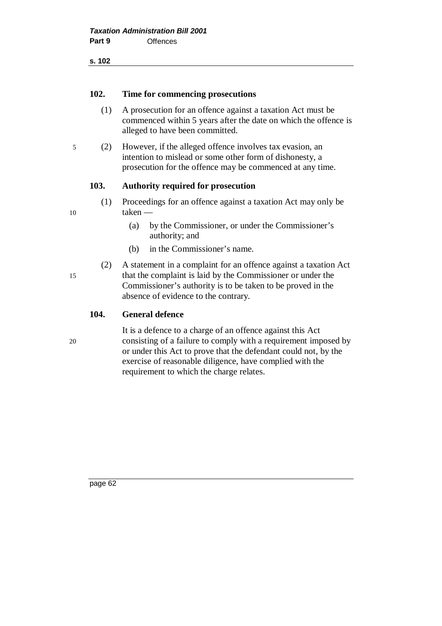**s. 102**

#### **102. Time for commencing prosecutions**

- (1) A prosecution for an offence against a taxation Act must be commenced within 5 years after the date on which the offence is alleged to have been committed.
- 5 (2) However, if the alleged offence involves tax evasion, an intention to mislead or some other form of dishonesty, a prosecution for the offence may be commenced at any time.

## **103. Authority required for prosecution**

- (1) Proceedings for an offence against a taxation Act may only be 10 taken —
	- (a) by the Commissioner, or under the Commissioner's authority; and
	- (b) in the Commissioner's name.

(2) A statement in a complaint for an offence against a taxation Act 15 that the complaint is laid by the Commissioner or under the Commissioner's authority is to be taken to be proved in the absence of evidence to the contrary.

#### **104. General defence**

It is a defence to a charge of an offence against this Act 20 consisting of a failure to comply with a requirement imposed by or under this Act to prove that the defendant could not, by the exercise of reasonable diligence, have complied with the requirement to which the charge relates.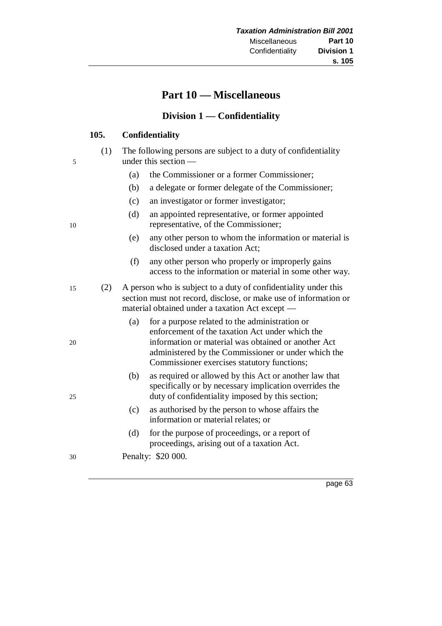# **Part 10 — Miscellaneous**

# **Division 1 — Confidentiality**

## **105. Confidentiality**

- (1) The following persons are subject to a duty of confidentiality 5 under this section —
	- (a) the Commissioner or a former Commissioner;
	- (b) a delegate or former delegate of the Commissioner;
	- (c) an investigator or former investigator;
- (d) an appointed representative, or former appointed 10 representative, of the Commissioner;
	- (e) any other person to whom the information or material is disclosed under a taxation Act;
	- (f) any other person who properly or improperly gains access to the information or material in some other way.
- 15 (2) A person who is subject to a duty of confidentiality under this section must not record, disclose, or make use of information or material obtained under a taxation Act except —
- (a) for a purpose related to the administration or enforcement of the taxation Act under which the 20 information or material was obtained or another Act administered by the Commissioner or under which the Commissioner exercises statutory functions;
- (b) as required or allowed by this Act or another law that specifically or by necessary implication overrides the 25 duty of confidentiality imposed by this section;
	- (c) as authorised by the person to whose affairs the information or material relates; or
	- (d) for the purpose of proceedings, or a report of proceedings, arising out of a taxation Act.
- 30 Penalty: \$20 000.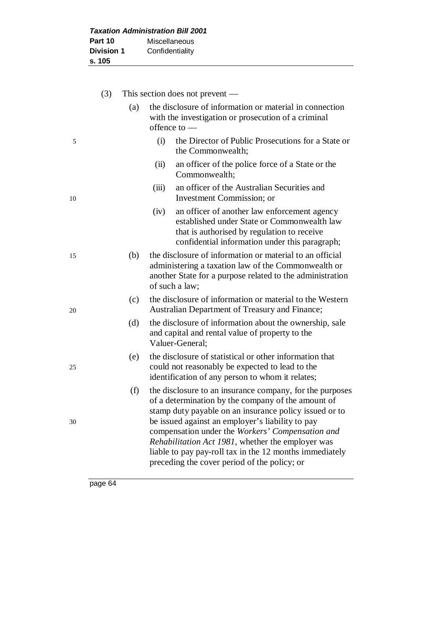|                   | <b>Taxation Administration Bill 2001</b> |
|-------------------|------------------------------------------|
| Part 10           | <b>Miscellaneous</b>                     |
| <b>Division 1</b> | Confidentiality                          |
| s. 105            |                                          |

|    | (3) |     |       | This section does not prevent —                                                                                                                                                                                                                                                  |
|----|-----|-----|-------|----------------------------------------------------------------------------------------------------------------------------------------------------------------------------------------------------------------------------------------------------------------------------------|
|    |     | (a) |       | the disclosure of information or material in connection<br>with the investigation or prosecution of a criminal<br>offence to $-$                                                                                                                                                 |
| 5  |     |     | (i)   | the Director of Public Prosecutions for a State or<br>the Commonwealth;                                                                                                                                                                                                          |
|    |     |     | (ii)  | an officer of the police force of a State or the<br>Commonwealth;                                                                                                                                                                                                                |
| 10 |     |     | (iii) | an officer of the Australian Securities and<br>Investment Commission; or                                                                                                                                                                                                         |
|    |     |     | (iv)  | an officer of another law enforcement agency<br>established under State or Commonwealth law<br>that is authorised by regulation to receive<br>confidential information under this paragraph;                                                                                     |
| 15 |     | (b) |       | the disclosure of information or material to an official<br>administering a taxation law of the Commonwealth or<br>another State for a purpose related to the administration<br>of such a law;                                                                                   |
| 20 |     | (c) |       | the disclosure of information or material to the Western<br>Australian Department of Treasury and Finance;                                                                                                                                                                       |
|    |     | (d) |       | the disclosure of information about the ownership, sale<br>and capital and rental value of property to the<br>Valuer-General;                                                                                                                                                    |
| 25 |     | (e) |       | the disclosure of statistical or other information that<br>could not reasonably be expected to lead to the<br>identification of any person to whom it relates;                                                                                                                   |
| 30 |     | (f) |       | the disclosure to an insurance company, for the purposes<br>of a determination by the company of the amount of<br>stamp duty payable on an insurance policy issued or to<br>be issued against an employer's liability to pay<br>compensation under the Workers' Compensation and |
|    |     |     |       | Rehabilitation Act 1981, whether the employer was<br>liable to pay pay-roll tax in the 12 months immediately<br>preceding the cover period of the policy; or                                                                                                                     |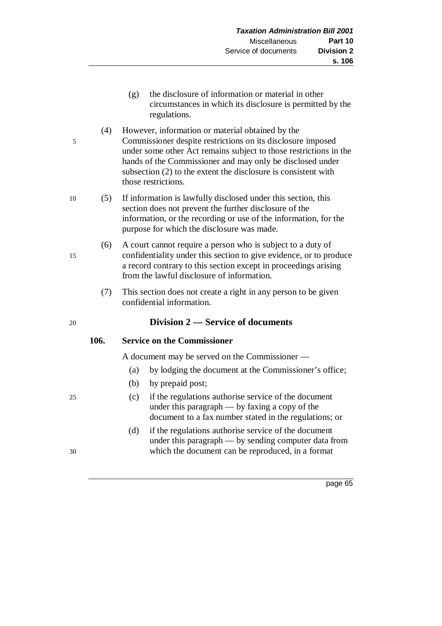- (g) the disclosure of information or material in other circumstances in which its disclosure is permitted by the regulations.
- (4) However, information or material obtained by the 5 Commissioner despite restrictions on its disclosure imposed under some other Act remains subject to those restrictions in the hands of the Commissioner and may only be disclosed under subsection (2) to the extent the disclosure is consistent with those restrictions.
- 10 (5) If information is lawfully disclosed under this section, this section does not prevent the further disclosure of the information, or the recording or use of the information, for the purpose for which the disclosure was made.
- (6) A court cannot require a person who is subject to a duty of 15 confidentiality under this section to give evidence, or to produce a record contrary to this section except in proceedings arising from the lawful disclosure of information.
	- (7) This section does not create a right in any person to be given confidential information.

# 20 **Division 2 — Service of documents**

# **106. Service on the Commissioner**

A document may be served on the Commissioner —

- (a) by lodging the document at the Commissioner's office;
- (b) by prepaid post;
- 25 (c) if the regulations authorise service of the document under this paragraph — by faxing a copy of the document to a fax number stated in the regulations; or
- (d) if the regulations authorise service of the document under this paragraph — by sending computer data from 30 which the document can be reproduced, in a format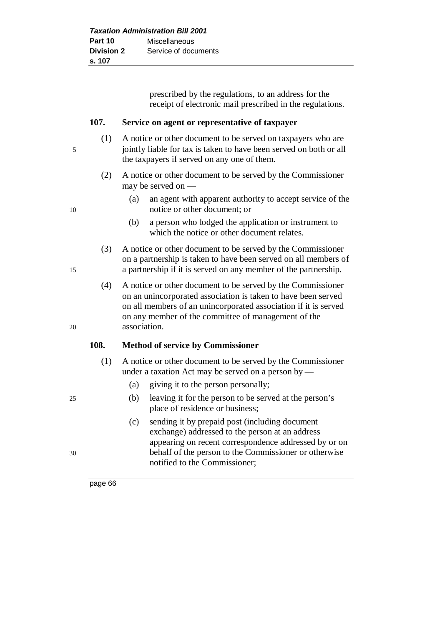| <b>Taxation Administration Bill 2001</b> |                      |
|------------------------------------------|----------------------|
| Part 10                                  | Miscellaneous        |
| <b>Division 2</b>                        | Service of documents |
| s. 107                                   |                      |

prescribed by the regulations, to an address for the receipt of electronic mail prescribed in the regulations.

#### **107. Service on agent or representative of taxpayer**

- (1) A notice or other document to be served on taxpayers who are 5 jointly liable for tax is taken to have been served on both or all the taxpayers if served on any one of them.
	- (2) A notice or other document to be served by the Commissioner may be served on —
- (a) an agent with apparent authority to accept service of the 10 notice or other document; or
	- (b) a person who lodged the application or instrument to which the notice or other document relates.
- (3) A notice or other document to be served by the Commissioner on a partnership is taken to have been served on all members of 15 a partnership if it is served on any member of the partnership.
- (4) A notice or other document to be served by the Commissioner on an unincorporated association is taken to have been served on all members of an unincorporated association if it is served on any member of the committee of management of the 20 association.

#### **108. Method of service by Commissioner**

- (1) A notice or other document to be served by the Commissioner under a taxation Act may be served on a person by —
	- (a) giving it to the person personally;
- 25 (b) leaving it for the person to be served at the person's place of residence or business;
- (c) sending it by prepaid post (including document exchange) addressed to the person at an address appearing on recent correspondence addressed by or on 30 behalf of the person to the Commissioner or otherwise notified to the Commissioner;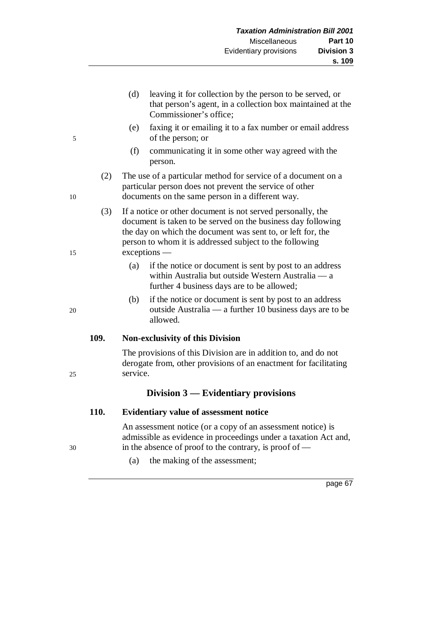- (d) leaving it for collection by the person to be served, or that person's agent, in a collection box maintained at the Commissioner's office;
- (e) faxing it or emailing it to a fax number or email address 5 of the person; or
	- (f) communicating it in some other way agreed with the person.
- (2) The use of a particular method for service of a document on a particular person does not prevent the service of other 10 documents on the same person in a different way.

(3) If a notice or other document is not served personally, the document is taken to be served on the business day following the day on which the document was sent to, or left for, the person to whom it is addressed subject to the following 15 exceptions —

- (a) if the notice or document is sent by post to an address within Australia but outside Western Australia — a further 4 business days are to be allowed;
- (b) if the notice or document is sent by post to an address 20 outside Australia — a further 10 business days are to be allowed.

## **109. Non-exclusivity of this Division**

The provisions of this Division are in addition to, and do not derogate from, other provisions of an enactment for facilitating 25 service.

## **Division 3 — Evidentiary provisions**

## **110. Evidentiary value of assessment notice**

An assessment notice (or a copy of an assessment notice) is admissible as evidence in proceedings under a taxation Act and, 30 in the absence of proof to the contrary, is proof of —

(a) the making of the assessment;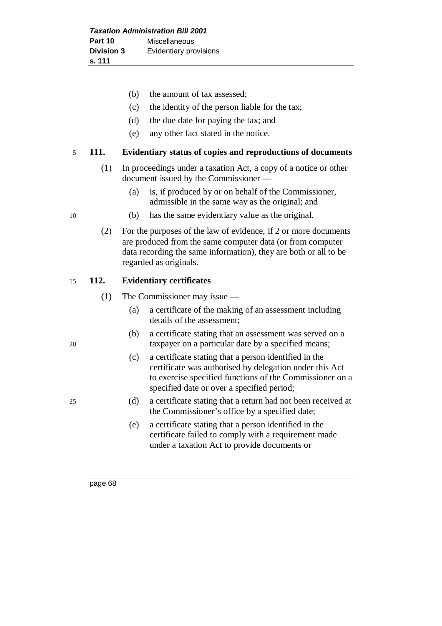- (b) the amount of tax assessed;
- (c) the identity of the person liable for the tax;
- (d) the due date for paying the tax; and
- (e) any other fact stated in the notice.

#### 5 **111. Evidentiary status of copies and reproductions of documents**

- (1) In proceedings under a taxation Act, a copy of a notice or other document issued by the Commissioner —
	- (a) is, if produced by or on behalf of the Commissioner, admissible in the same way as the original; and
- 10 (b) has the same evidentiary value as the original.
	- (2) For the purposes of the law of evidence, if 2 or more documents are produced from the same computer data (or from computer data recording the same information), they are both or all to be regarded as originals.

#### 15 **112. Evidentiary certificates**

- (1) The Commissioner may issue
	- (a) a certificate of the making of an assessment including details of the assessment;
- (b) a certificate stating that an assessment was served on a 20 taxpayer on a particular date by a specified means;
	- (c) a certificate stating that a person identified in the certificate was authorised by delegation under this Act to exercise specified functions of the Commissioner on a specified date or over a specified period;
- 25 (d) a certificate stating that a return had not been received at the Commissioner's office by a specified date;
	- (e) a certificate stating that a person identified in the certificate failed to comply with a requirement made under a taxation Act to provide documents or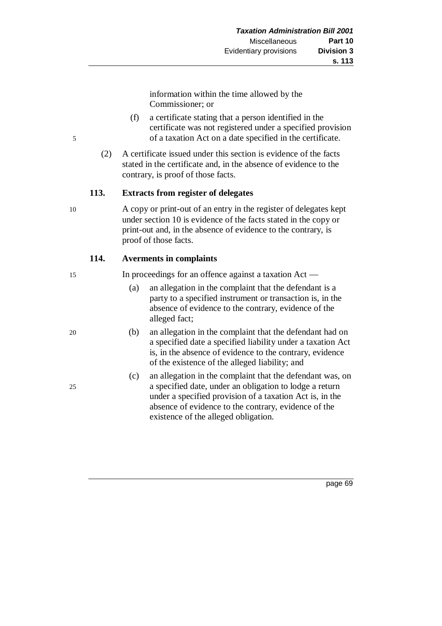information within the time allowed by the Commissioner; or

- (f) a certificate stating that a person identified in the certificate was not registered under a specified provision 5 of a taxation Act on a date specified in the certificate.
	- (2) A certificate issued under this section is evidence of the facts stated in the certificate and, in the absence of evidence to the contrary, is proof of those facts.

## **113. Extracts from register of delegates**

10 A copy or print-out of an entry in the register of delegates kept under section 10 is evidence of the facts stated in the copy or print-out and, in the absence of evidence to the contrary, is proof of those facts.

## **114. Averments in complaints**

15 In proceedings for an offence against a taxation Act —

- (a) an allegation in the complaint that the defendant is a party to a specified instrument or transaction is, in the absence of evidence to the contrary, evidence of the alleged fact;
- 20 (b) an allegation in the complaint that the defendant had on a specified date a specified liability under a taxation Act is, in the absence of evidence to the contrary, evidence of the existence of the alleged liability; and
- (c) an allegation in the complaint that the defendant was, on 25 a specified date, under an obligation to lodge a return under a specified provision of a taxation Act is, in the absence of evidence to the contrary, evidence of the existence of the alleged obligation.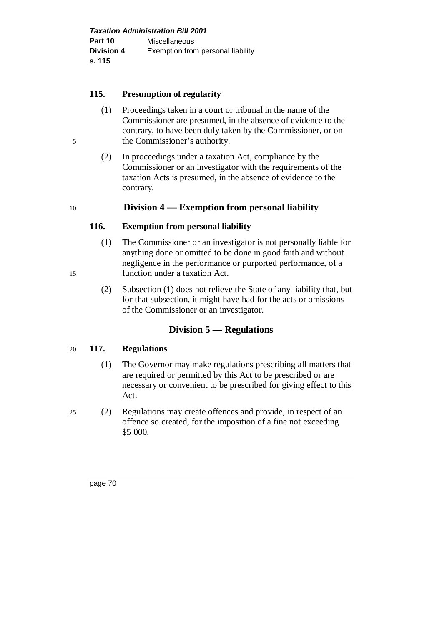### **115. Presumption of regularity**

- (1) Proceedings taken in a court or tribunal in the name of the Commissioner are presumed, in the absence of evidence to the contrary, to have been duly taken by the Commissioner, or on 5 the Commissioner's authority.
	- (2) In proceedings under a taxation Act, compliance by the Commissioner or an investigator with the requirements of the taxation Acts is presumed, in the absence of evidence to the contrary.

## 10 **Division 4 — Exemption from personal liability**

### **116. Exemption from personal liability**

- (1) The Commissioner or an investigator is not personally liable for anything done or omitted to be done in good faith and without negligence in the performance or purported performance, of a 15 function under a taxation Act.
	- (2) Subsection (1) does not relieve the State of any liability that, but for that subsection, it might have had for the acts or omissions of the Commissioner or an investigator.

## **Division 5 — Regulations**

#### 20 **117. Regulations**

- (1) The Governor may make regulations prescribing all matters that are required or permitted by this Act to be prescribed or are necessary or convenient to be prescribed for giving effect to this Act.
- 25 (2) Regulations may create offences and provide, in respect of an offence so created, for the imposition of a fine not exceeding \$5 000.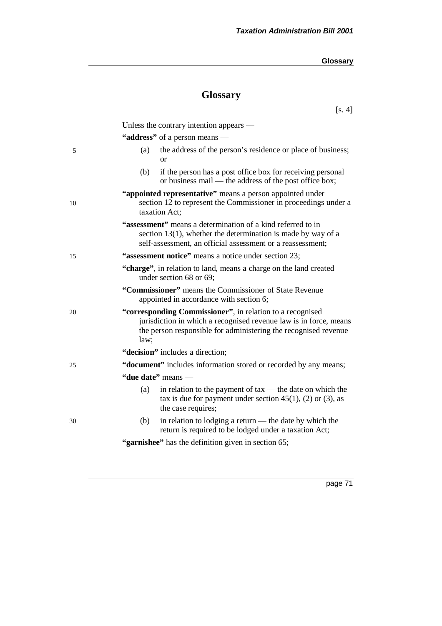[s. 4]

# **Glossary**

Unless the contrary intention appears — **"address"** of a person means — 5 (a) the address of the person's residence or place of business; or (b) if the person has a post office box for receiving personal or business mail — the address of the post office box; **"appointed representative"** means a person appointed under 10 section 12 to represent the Commissioner in proceedings under a taxation Act; **"assessment"** means a determination of a kind referred to in section 13(1), whether the determination is made by way of a self-assessment, an official assessment or a reassessment; 15 **"assessment notice"** means a notice under section 23; **"charge"**, in relation to land, means a charge on the land created under section 68 or 69; **"Commissioner"** means the Commissioner of State Revenue appointed in accordance with section 6; 20 **"corresponding Commissioner"**, in relation to a recognised jurisdiction in which a recognised revenue law is in force, means the person responsible for administering the recognised revenue law; **"decision"** includes a direction; 25 **"document"** includes information stored or recorded by any means; **"due date"** means — (a) in relation to the payment of tax — the date on which the tax is due for payment under section  $45(1)$ ,  $(2)$  or  $(3)$ , as the case requires; 30 (b) in relation to lodging a return — the date by which the return is required to be lodged under a taxation Act; "garnishee" has the definition given in section 65;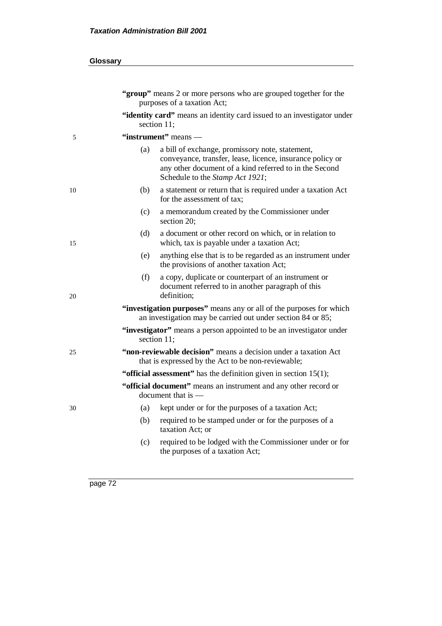| Glossary                                                                                                                                                                                                         |  |  |  |
|------------------------------------------------------------------------------------------------------------------------------------------------------------------------------------------------------------------|--|--|--|
| "group" means 2 or more persons who are grouped together for the<br>purposes of a taxation Act;                                                                                                                  |  |  |  |
| "identity card" means an identity card issued to an investigator under<br>section 11;                                                                                                                            |  |  |  |
| "instrument" means —                                                                                                                                                                                             |  |  |  |
| (a)<br>a bill of exchange, promissory note, statement,<br>conveyance, transfer, lease, licence, insurance policy or<br>any other document of a kind referred to in the Second<br>Schedule to the Stamp Act 1921; |  |  |  |
| a statement or return that is required under a taxation Act<br>(b)<br>for the assessment of tax;                                                                                                                 |  |  |  |
| (c)<br>a memorandum created by the Commissioner under<br>section 20;                                                                                                                                             |  |  |  |
| (d)<br>a document or other record on which, or in relation to<br>which, tax is payable under a taxation Act;                                                                                                     |  |  |  |
| anything else that is to be regarded as an instrument under<br>(e)<br>the provisions of another taxation Act;                                                                                                    |  |  |  |
| a copy, duplicate or counterpart of an instrument or<br>(f)<br>document referred to in another paragraph of this<br>definition;                                                                                  |  |  |  |
| "investigation purposes" means any or all of the purposes for which<br>an investigation may be carried out under section 84 or 85;                                                                               |  |  |  |
| "investigator" means a person appointed to be an investigator under<br>section 11;                                                                                                                               |  |  |  |
| "non-reviewable decision" means a decision under a taxation Act<br>that is expressed by the Act to be non-reviewable;                                                                                            |  |  |  |
| "official assessment" has the definition given in section $15(1)$ ;                                                                                                                                              |  |  |  |
| "official document" means an instrument and any other record or<br>document that is —                                                                                                                            |  |  |  |
| (a)<br>kept under or for the purposes of a taxation Act;                                                                                                                                                         |  |  |  |
| (b)<br>required to be stamped under or for the purposes of a<br>taxation Act; or                                                                                                                                 |  |  |  |
| required to be lodged with the Commissioner under or for<br>(c)<br>the purposes of a taxation Act;                                                                                                               |  |  |  |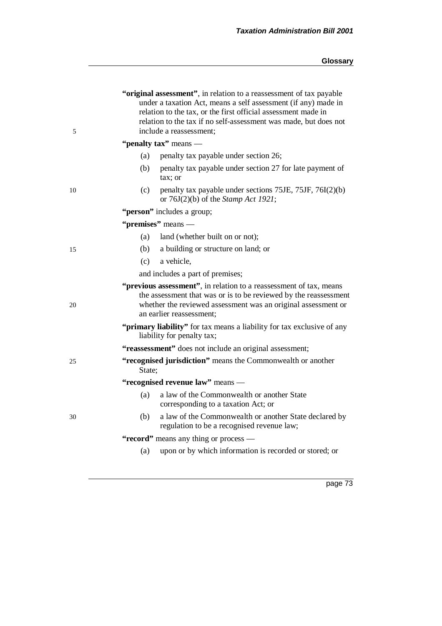| 5                                     | "original assessment", in relation to a reassessment of tax payable<br>under a taxation Act, means a self assessment (if any) made in<br>relation to the tax, or the first official assessment made in<br>relation to the tax if no self-assessment was made, but does not<br>include a reassessment; |  |  |  |  |
|---------------------------------------|-------------------------------------------------------------------------------------------------------------------------------------------------------------------------------------------------------------------------------------------------------------------------------------------------------|--|--|--|--|
| "penalty tax" means —                 |                                                                                                                                                                                                                                                                                                       |  |  |  |  |
|                                       | (a)<br>penalty tax payable under section 26;                                                                                                                                                                                                                                                          |  |  |  |  |
|                                       | (b)<br>penalty tax payable under section 27 for late payment of<br>tax; or                                                                                                                                                                                                                            |  |  |  |  |
| 10                                    | penalty tax payable under sections 75JE, 75JF, 76I(2)(b)<br>(c)<br>or $76J(2)(b)$ of the <i>Stamp Act 1921</i> ;                                                                                                                                                                                      |  |  |  |  |
|                                       | "person" includes a group;                                                                                                                                                                                                                                                                            |  |  |  |  |
|                                       | "premises" means —                                                                                                                                                                                                                                                                                    |  |  |  |  |
|                                       | land (whether built on or not);<br>(a)                                                                                                                                                                                                                                                                |  |  |  |  |
| 15                                    | (b)<br>a building or structure on land; or                                                                                                                                                                                                                                                            |  |  |  |  |
|                                       | a vehicle,<br>(c)                                                                                                                                                                                                                                                                                     |  |  |  |  |
|                                       | and includes a part of premises;                                                                                                                                                                                                                                                                      |  |  |  |  |
| 20                                    | "previous assessment", in relation to a reassessment of tax, means<br>the assessment that was or is to be reviewed by the reassessment<br>whether the reviewed assessment was an original assessment or<br>an earlier reassessment;                                                                   |  |  |  |  |
|                                       | "primary liability" for tax means a liability for tax exclusive of any<br>liability for penalty tax;                                                                                                                                                                                                  |  |  |  |  |
|                                       | "reassessment" does not include an original assessment;                                                                                                                                                                                                                                               |  |  |  |  |
| 25                                    | "recognised jurisdiction" means the Commonwealth or another<br>State;                                                                                                                                                                                                                                 |  |  |  |  |
|                                       | "recognised revenue law" means -                                                                                                                                                                                                                                                                      |  |  |  |  |
|                                       | (a)<br>a law of the Commonwealth or another State<br>corresponding to a taxation Act; or                                                                                                                                                                                                              |  |  |  |  |
| 30                                    | a law of the Commonwealth or another State declared by<br>(b)<br>regulation to be a recognised revenue law;                                                                                                                                                                                           |  |  |  |  |
| "record" means any thing or process — |                                                                                                                                                                                                                                                                                                       |  |  |  |  |
|                                       | upon or by which information is recorded or stored; or<br>(a)                                                                                                                                                                                                                                         |  |  |  |  |
|                                       |                                                                                                                                                                                                                                                                                                       |  |  |  |  |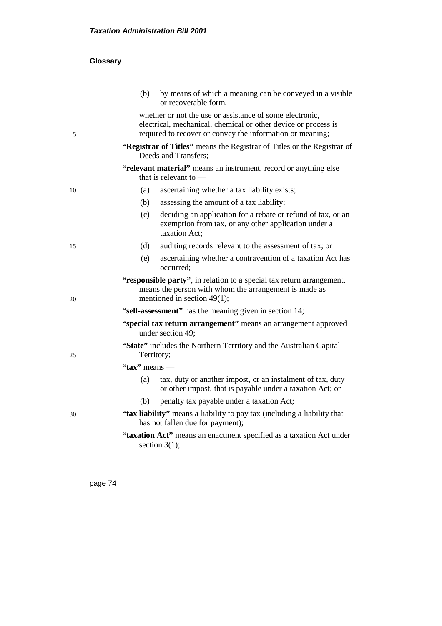|    | (b)                                                                                                                                                                                     | by means of which a meaning can be conveyed in a visible<br>or recoverable form,                                                      |  |  |
|----|-----------------------------------------------------------------------------------------------------------------------------------------------------------------------------------------|---------------------------------------------------------------------------------------------------------------------------------------|--|--|
| 5  | whether or not the use or assistance of some electronic,<br>electrical, mechanical, chemical or other device or process is<br>required to recover or convey the information or meaning; |                                                                                                                                       |  |  |
|    | "Registrar of Titles" means the Registrar of Titles or the Registrar of<br>Deeds and Transfers:                                                                                         |                                                                                                                                       |  |  |
|    | "relevant material" means an instrument, record or anything else<br>that is relevant to $-$                                                                                             |                                                                                                                                       |  |  |
| 10 | (a)                                                                                                                                                                                     | ascertaining whether a tax liability exists;                                                                                          |  |  |
|    | (b)                                                                                                                                                                                     | assessing the amount of a tax liability;                                                                                              |  |  |
|    | (c)                                                                                                                                                                                     | deciding an application for a rebate or refund of tax, or an<br>exemption from tax, or any other application under a<br>taxation Act: |  |  |
| 15 | (d)                                                                                                                                                                                     | auditing records relevant to the assessment of tax; or                                                                                |  |  |
|    | (e)                                                                                                                                                                                     | ascertaining whether a contravention of a taxation Act has<br>occurred;                                                               |  |  |
| 20 | "responsible party", in relation to a special tax return arrangement,<br>means the person with whom the arrangement is made as<br>mentioned in section 49(1);                           |                                                                                                                                       |  |  |
|    | "self-assessment" has the meaning given in section 14;                                                                                                                                  |                                                                                                                                       |  |  |
|    | "special tax return arrangement" means an arrangement approved<br>under section 49;                                                                                                     |                                                                                                                                       |  |  |
| 25 | Territory;                                                                                                                                                                              | "State" includes the Northern Territory and the Australian Capital                                                                    |  |  |
|    | " $\text{tax}"$ " means —                                                                                                                                                               |                                                                                                                                       |  |  |
|    | (a)                                                                                                                                                                                     | tax, duty or another impost, or an instalment of tax, duty<br>or other impost, that is payable under a taxation Act; or               |  |  |
|    | (b)                                                                                                                                                                                     | penalty tax payable under a taxation Act;                                                                                             |  |  |
| 30 | "tax liability" means a liability to pay tax (including a liability that<br>has not fallen due for payment);                                                                            |                                                                                                                                       |  |  |
|    |                                                                                                                                                                                         |                                                                                                                                       |  |  |
|    |                                                                                                                                                                                         | "taxation Act" means an enactment specified as a taxation Act under<br>section $3(1)$ ;                                               |  |  |